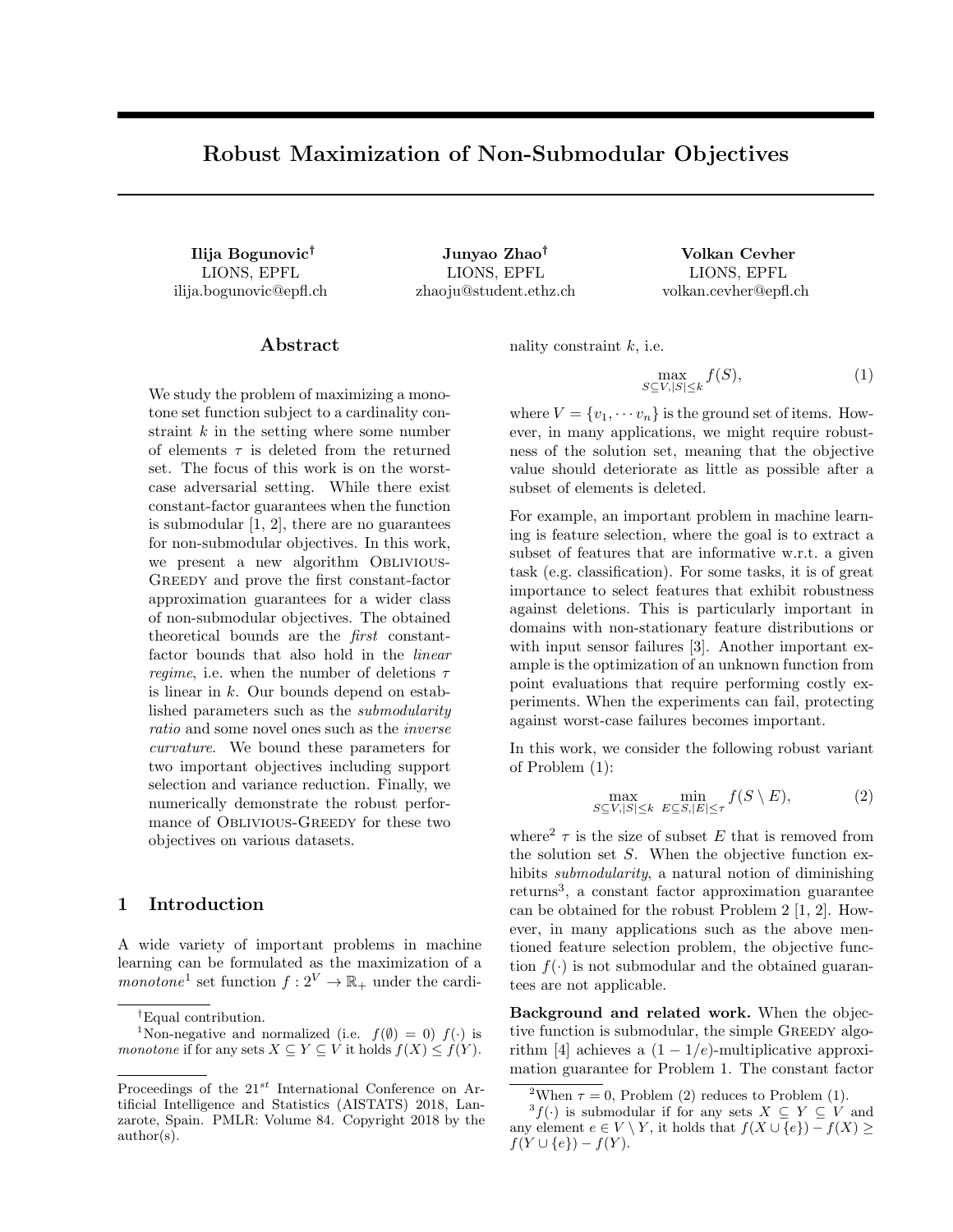# Robust Maximization of Non-Submodular Objectives

LIONS, EPFL ilija.bogunovic@epfl.ch

Ilija Bogunovic† Junyao Zhao† Volkan Cevher LIONS, EPFL zhaoju@student.ethz.ch

LIONS, EPFL volkan.cevher@epfl.ch

# Abstract

We study the problem of maximizing a monotone set function subject to a cardinality constraint  $k$  in the setting where some number of elements  $\tau$  is deleted from the returned set. The focus of this work is on the worstcase adversarial setting. While there exist constant-factor guarantees when the function is submodular [1, 2], there are no guarantees for non-submodular objectives. In this work, we present a new algorithm Oblivious-Greedy and prove the first constant-factor approximation guarantees for a wider class of non-submodular objectives. The obtained theoretical bounds are the first constantfactor bounds that also hold in the *linear regime*, i.e. when the number of deletions  $\tau$ is linear in  $k$ . Our bounds depend on established parameters such as the submodularity ratio and some novel ones such as the inverse curvature. We bound these parameters for two important objectives including support selection and variance reduction. Finally, we numerically demonstrate the robust performance of Oblivious-Greedy for these two objectives on various datasets.

## 1 Introduction

A wide variety of important problems in machine learning can be formulated as the maximization of a monotone<sup>1</sup> set function  $f: 2^V \to \mathbb{R}_+$  under the cardinality constraint  $k$ , i.e.

$$
\max_{S \subseteq V, |S| \le k} f(S),\tag{1}
$$

where  $V = \{v_1, \dots, v_n\}$  is the ground set of items. However, in many applications, we might require robustness of the solution set, meaning that the objective value should deteriorate as little as possible after a subset of elements is deleted.

For example, an important problem in machine learning is feature selection, where the goal is to extract a subset of features that are informative w.r.t. a given task (e.g. classification). For some tasks, it is of great importance to select features that exhibit robustness against deletions. This is particularly important in domains with non-stationary feature distributions or with input sensor failures [3]. Another important example is the optimization of an unknown function from point evaluations that require performing costly experiments. When the experiments can fail, protecting against worst-case failures becomes important.

In this work, we consider the following robust variant of Problem (1):

$$
\max_{S \subseteq V, |S| \le k} \min_{E \subseteq S, |E| \le \tau} f(S \setminus E),\tag{2}
$$

where<sup>2</sup>  $\tau$  is the size of subset E that is removed from the solution set  $S$ . When the objective function exhibits submodularity, a natural notion of diminishing returns<sup>3</sup> , a constant factor approximation guarantee can be obtained for the robust Problem 2 [1, 2]. However, in many applications such as the above mentioned feature selection problem, the objective function  $f(\cdot)$  is not submodular and the obtained guarantees are not applicable.

Background and related work. When the objective function is submodular, the simple GREEDY algorithm [4] achieves a  $(1 - 1/e)$ -multiplicative approximation guarantee for Problem 1. The constant factor

<sup>†</sup>Equal contribution.

<sup>&</sup>lt;sup>1</sup>Non-negative and normalized (i.e.  $f(\emptyset) = 0$ )  $f(\cdot)$  is monotone if for any sets  $X \subseteq Y \subseteq V$  it holds  $f(X) \leq f(Y)$ .

Proceedings of the  $21^{st}$  International Conference on Artificial Intelligence and Statistics (AISTATS) 2018, Lanzarote, Spain. PMLR: Volume 84. Copyright 2018 by the author(s).

<sup>&</sup>lt;sup>2</sup>When  $\tau = 0$ , Problem (2) reduces to Problem (1).

<sup>&</sup>lt;sup>3</sup> $f(\cdot)$  is submodular if for any sets  $X \subseteq Y \subseteq V$  and any element  $e \in V \setminus Y$ , it holds that  $f(X \cup \{e\}) - f(X) \ge$  $f(Y \cup \{e\}) - f(Y).$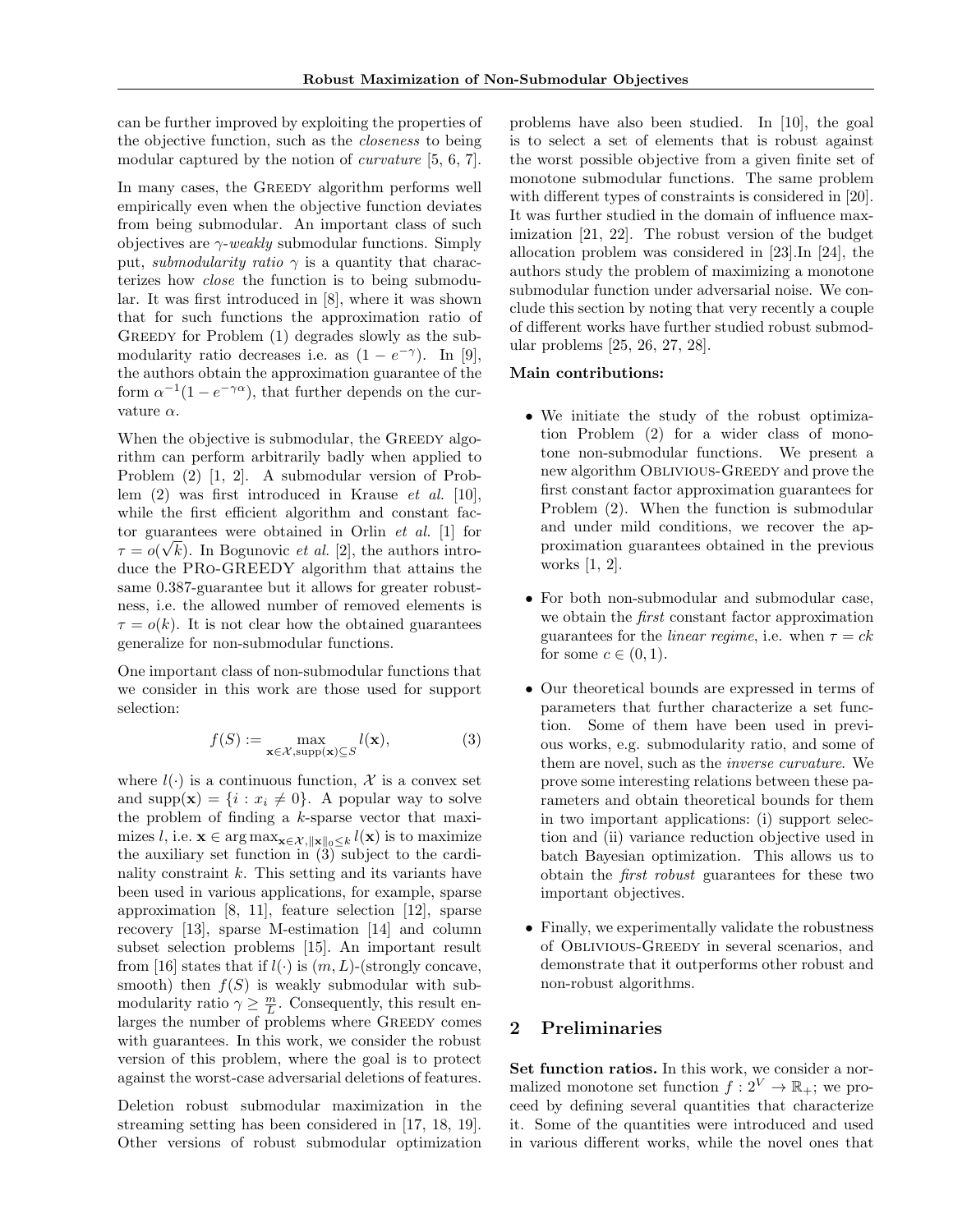can be further improved by exploiting the properties of the objective function, such as the closeness to being modular captured by the notion of curvature [5, 6, 7].

In many cases, the GREEDY algorithm performs well empirically even when the objective function deviates from being submodular. An important class of such objectives are  $\gamma$ -weakly submodular functions. Simply put, *submodularity ratio*  $\gamma$  is a quantity that characterizes how close the function is to being submodular. It was first introduced in [8], where it was shown that for such functions the approximation ratio of GREEDY for Problem (1) degrades slowly as the submodularity ratio decreases i.e. as  $(1 - e^{-\gamma})$ . In [9], the authors obtain the approximation guarantee of the form  $\alpha^{-1}(1-e^{-\gamma\alpha})$ , that further depends on the curvature  $\alpha$ .

When the objective is submodular, the GREEDY algorithm can perform arbitrarily badly when applied to Problem (2) [1, 2]. A submodular version of Problem (2) was first introduced in Krause et al. [10], while the first efficient algorithm and constant factor guarantees were obtained in Orlin *et al.* [1] for  $\tau = o(\sqrt{k})$ . In Bogunovic *et al.* [2], the authors introduce the PRo-GREEDY algorithm that attains the same 0.387-guarantee but it allows for greater robustness, i.e. the allowed number of removed elements is  $\tau = o(k)$ . It is not clear how the obtained guarantees generalize for non-submodular functions.

One important class of non-submodular functions that we consider in this work are those used for support selection:

$$
f(S) := \max_{\mathbf{x} \in \mathcal{X}, \text{supp}(\mathbf{x}) \subseteq S} l(\mathbf{x}),\tag{3}
$$

where  $l(\cdot)$  is a continuous function, X is a convex set and supp(x) =  $\{i : x_i \neq 0\}$ . A popular way to solve the problem of finding a  $k$ -sparse vector that maximizes l, i.e.  $\mathbf{x} \in \arg \max_{\mathbf{x} \in \mathcal{X}, \|\mathbf{x}\|_0 \leq k} l(\mathbf{x})$  is to maximize the auxiliary set function in  $(3)$  subject to the cardinality constraint  $k$ . This setting and its variants have been used in various applications, for example, sparse approximation [8, 11], feature selection [12], sparse recovery [13], sparse M-estimation [14] and column subset selection problems [15]. An important result from [16] states that if  $l(\cdot)$  is  $(m, L)$ -(strongly concave, smooth) then  $f(S)$  is weakly submodular with submodularity ratio  $\gamma \geq \frac{m}{L}$ . Consequently, this result enlarges the number of problems where GREEDY comes with guarantees. In this work, we consider the robust version of this problem, where the goal is to protect against the worst-case adversarial deletions of features.

Deletion robust submodular maximization in the streaming setting has been considered in [17, 18, 19]. Other versions of robust submodular optimization

problems have also been studied. In [10], the goal is to select a set of elements that is robust against the worst possible objective from a given finite set of monotone submodular functions. The same problem with different types of constraints is considered in [20]. It was further studied in the domain of influence maximization [21, 22]. The robust version of the budget allocation problem was considered in [23].In [24], the authors study the problem of maximizing a monotone submodular function under adversarial noise. We conclude this section by noting that very recently a couple of different works have further studied robust submodular problems [25, 26, 27, 28].

#### Main contributions:

- We initiate the study of the robust optimization Problem (2) for a wider class of monotone non-submodular functions. We present a new algorithm Oblivious-Greedy and prove the first constant factor approximation guarantees for Problem (2). When the function is submodular and under mild conditions, we recover the approximation guarantees obtained in the previous works [1, 2].
- For both non-submodular and submodular case, we obtain the first constant factor approximation guarantees for the *linear regime*, i.e. when  $\tau = ck$ for some  $c \in (0,1)$ .
- Our theoretical bounds are expressed in terms of parameters that further characterize a set function. Some of them have been used in previous works, e.g. submodularity ratio, and some of them are novel, such as the inverse curvature. We prove some interesting relations between these parameters and obtain theoretical bounds for them in two important applications: (i) support selection and (ii) variance reduction objective used in batch Bayesian optimization. This allows us to obtain the first robust guarantees for these two important objectives.
- Finally, we experimentally validate the robustness of Oblivious-Greedy in several scenarios, and demonstrate that it outperforms other robust and non-robust algorithms.

## 2 Preliminaries

Set function ratios. In this work, we consider a normalized monotone set function  $f: 2^V \to \mathbb{R}_+$ ; we proceed by defining several quantities that characterize it. Some of the quantities were introduced and used in various different works, while the novel ones that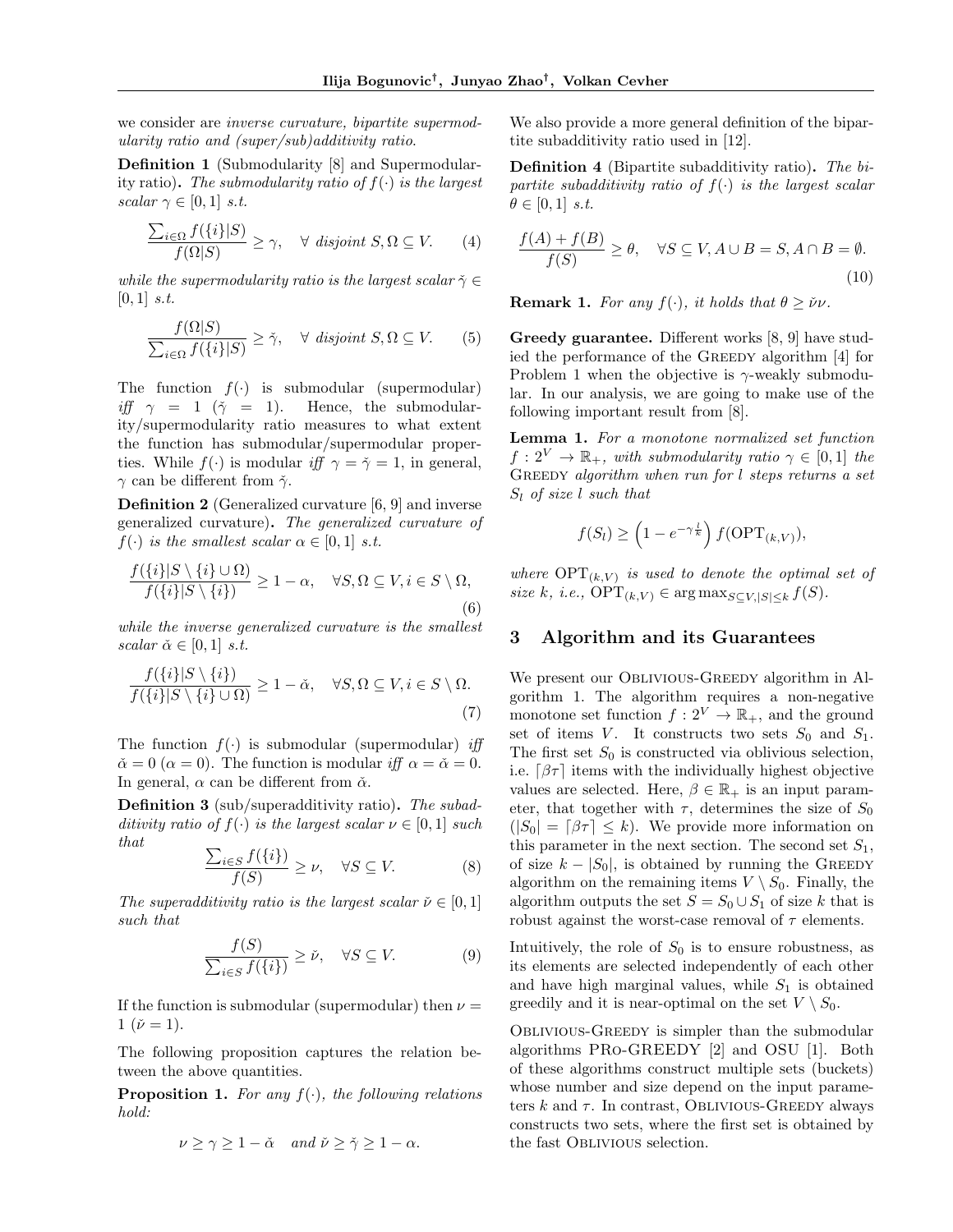we consider are inverse curvature, bipartite supermodularity ratio and (super/sub)additivity ratio.

Definition 1 (Submodularity [8] and Supermodularity ratio). The submodularity ratio of  $f(\cdot)$  is the largest scalar  $\gamma \in [0,1]$  s.t.

$$
\frac{\sum_{i\in\Omega} f(\{i\}|S)}{f(\Omega|S)} \ge \gamma, \quad \forall \text{ disjoint } S, \Omega \subseteq V. \tag{4}
$$

while the supermodularity ratio is the largest scalar  $\check{\gamma} \in$  $[0, 1]$  s.t.

$$
\frac{f(\Omega|S)}{\sum_{i\in\Omega} f(\{i\}|S)} \ge \check{\gamma}, \quad \forall \text{ disjoint } S, \Omega \subseteq V. \tag{5}
$$

The function  $f(\cdot)$  is submodular (supermodular) iff  $\gamma = 1$  ( $\tilde{\gamma} = 1$ ). Hence, the submodularity/supermodularity ratio measures to what extent the function has submodular/supermodular properties. While  $f(\cdot)$  is modular if  $\gamma = \check{\gamma} = 1$ , in general,  $\gamma$  can be different from  $\check{\gamma}$ .

Definition 2 (Generalized curvature [6, 9] and inverse generalized curvature). The generalized curvature of  $f(\cdot)$  is the smallest scalar  $\alpha \in [0,1]$  s.t.

$$
\frac{f(\{i\}|S \setminus \{i\} \cup \Omega)}{f(\{i\}|S \setminus \{i\})} \ge 1 - \alpha, \quad \forall S, \Omega \subseteq V, i \in S \setminus \Omega,
$$
\n(6)

while the inverse generalized curvature is the smallest scalar  $\check{\alpha} \in [0, 1]$  s.t.

$$
\frac{f(\{i\}|S \setminus \{i\})}{f(\{i\}|S \setminus \{i\} \cup \Omega)} \ge 1 - \check{\alpha}, \quad \forall S, \Omega \subseteq V, i \in S \setminus \Omega.
$$
\n(7)

The function  $f(\cdot)$  is submodular (supermodular) iff  $\check{\alpha} = 0 \; (\alpha = 0)$ . The function is modular iff  $\alpha = \check{\alpha} = 0$ . In general,  $\alpha$  can be different from  $\check{\alpha}$ .

Definition 3 (sub/superadditivity ratio). The subadditivity ratio of  $f(\cdot)$  is the largest scalar  $\nu \in [0,1]$  such that

$$
\frac{\sum_{i \in S} f(\{i\})}{f(S)} \ge \nu, \quad \forall S \subseteq V. \tag{8}
$$

The superadditivity ratio is the largest scalar  $\check{\nu} \in [0, 1]$ such that

$$
\frac{f(S)}{\sum_{i\in S} f(\{i\})} \ge \check{\nu}, \quad \forall S \subseteq V. \tag{9}
$$

If the function is submodular (supermodular) then  $\nu =$  $1\;(\check{\nu}=1).$ 

The following proposition captures the relation between the above quantities.

**Proposition 1.** For any  $f(\cdot)$ , the following relations hold:

$$
\nu \ge \gamma \ge 1 - \check{\alpha} \quad \text{and } \check{\nu} \ge \check{\gamma} \ge 1 - \alpha.
$$

We also provide a more general definition of the bipartite subadditivity ratio used in [12].

Definition 4 (Bipartite subadditivity ratio). The bipartite subadditivity ratio of  $f(\cdot)$  is the largest scalar  $\theta \in [0,1]$  s.t.

$$
\frac{f(A) + f(B)}{f(S)} \ge \theta, \quad \forall S \subseteq V, A \cup B = S, A \cap B = \emptyset.
$$
\n(10)

**Remark 1.** For any  $f(\cdot)$ , it holds that  $\theta \geq \check{\nu}\nu$ .

Greedy guarantee. Different works [8, 9] have studied the performance of the Greedy algorithm [4] for Problem 1 when the objective is  $\gamma$ -weakly submodular. In our analysis, we are going to make use of the following important result from [8].

Lemma 1. For a monotone normalized set function  $f: 2^V \to \mathbb{R}_+$ , with submodularity ratio  $\gamma \in [0,1]$  the GREEDY algorithm when run for l steps returns a set  $S_l$  of size l such that

$$
f(S_l) \ge \left(1 - e^{-\gamma \frac{l}{k}}\right) f(\text{OPT}_{(k,V)}),
$$

where  $\text{OPT}_{(k,V)}$  is used to denote the optimal set of size k, i.e.,  $\text{OPT}_{(k,V)} \in \arg \max_{S \subseteq V, |S| \leq k} f(S)$ .

# 3 Algorithm and its Guarantees

We present our OBLIVIOUS-GREEDY algorithm in Algorithm 1. The algorithm requires a non-negative monotone set function  $f: 2^V \to \mathbb{R}_+$ , and the ground set of items V. It constructs two sets  $S_0$  and  $S_1$ . The first set  $S_0$  is constructed via oblivious selection, i.e.  $\lceil \beta \tau \rceil$  items with the individually highest objective values are selected. Here,  $\beta \in \mathbb{R}_+$  is an input parameter, that together with  $\tau$ , determines the size of  $S_0$  $(|S_0| = \lceil \beta \tau \rceil \leq k)$ . We provide more information on this parameter in the next section. The second set  $S_1$ , of size  $k - |S_0|$ , is obtained by running the GREEDY algorithm on the remaining items  $V \setminus S_0$ . Finally, the algorithm outputs the set  $S = S_0 \cup S_1$  of size k that is robust against the worst-case removal of  $\tau$  elements.

Intuitively, the role of  $S_0$  is to ensure robustness, as its elements are selected independently of each other and have high marginal values, while  $S_1$  is obtained greedily and it is near-optimal on the set  $V \setminus S_0$ .

Oblivious-Greedy is simpler than the submodular algorithms PRo-GREEDY [2] and OSU [1]. Both of these algorithms construct multiple sets (buckets) whose number and size depend on the input parameters k and  $\tau$ . In contrast, OBLIVIOUS-GREEDY always constructs two sets, where the first set is obtained by the fast Oblivious selection.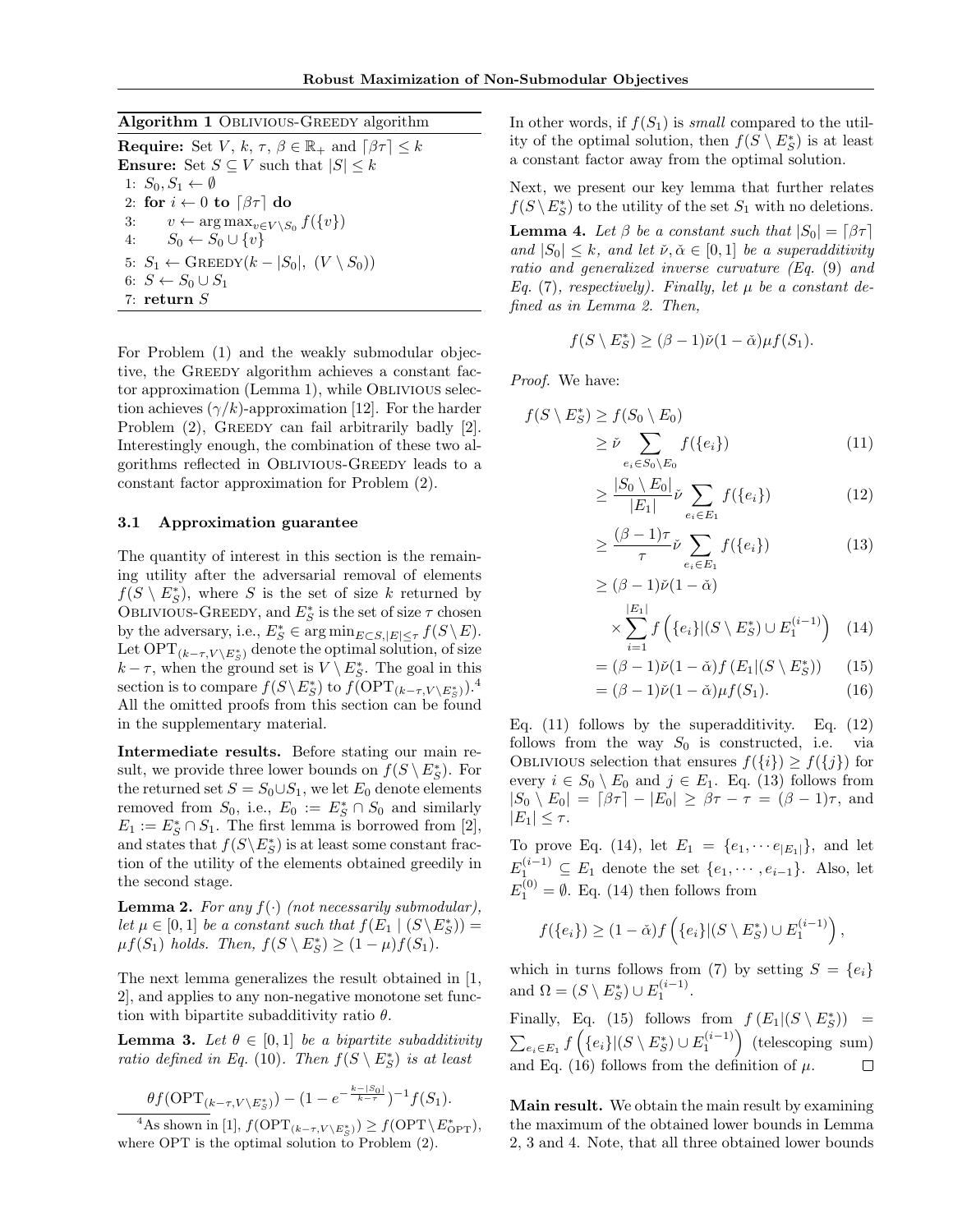#### Algorithm 1 Oblivious-Greedy algorithm

**Require:** Set V, k,  $\tau$ ,  $\beta \in \mathbb{R}_+$  and  $\lceil \beta \tau \rceil \leq k$ Ensure: Set  $S \subseteq V$  such that  $|S| \leq k$ 1:  $S_0, S_1 \leftarrow \emptyset$ 2: for  $i \leftarrow 0$  to  $\lceil \beta \tau \rceil$  do 3:  $v \leftarrow \arg \max_{v \in V \setminus S_0} f(\{v\})$ 4:  $S_0 \leftarrow S_0 \cup \{v\}$ 5:  $S_1 \leftarrow$  GREEDY $(k - |S_0|, (V \setminus S_0))$ 6:  $S \leftarrow S_0 \cup S_1$ 7: return S

For Problem (1) and the weakly submodular objective, the GREEDY algorithm achieves a constant factor approximation (Lemma 1), while Oblivious selection achieves  $(\gamma/k)$ -approximation [12]. For the harder Problem (2), GREEDY can fail arbitrarily badly [2]. Interestingly enough, the combination of these two algorithms reflected in Oblivious-Greedy leads to a constant factor approximation for Problem (2).

### 3.1 Approximation guarantee

The quantity of interest in this section is the remaining utility after the adversarial removal of elements  $f(S \setminus E_S^*)$ , where S is the set of size k returned by OBLIVIOUS-GREEDY, and  $E^*_S$  is the set of size  $\tau$  chosen by the adversary, i.e.,  $E_S^* \in \arg \min_{E \subset S, |E| \le \tau} f(S \setminus E)$ . Let  $\text{OPT}_{(k-\tau,V\setminus E^*_S)}$  denote the optimal solution, of size  $k-\tau$ , when the ground set is  $V \setminus E_S^*$ . The goal in this section is to compare  $f(S \backslash E_S^*)$  to  $f(\mathrm{OPT}_{(k-\tau,V \backslash E_S^*)})$ .<sup>4</sup> All the omitted proofs from this section can be found in the supplementary material.

Intermediate results. Before stating our main result, we provide three lower bounds on  $f(S \setminus E_S^*)$ . For the returned set  $S = S_0 \cup S_1$ , we let  $E_0$  denote elements removed from  $S_0$ , i.e.,  $E_0 := E_S^* \cap S_0$  and similarly  $E_1 := E_S^* \cap S_1$ . The first lemma is borrowed from [2], and states that  $f(S\backslash E_S^*)$  is at least some constant fraction of the utility of the elements obtained greedily in the second stage.

**Lemma 2.** For any  $f(\cdot)$  (not necessarily submodular), let  $\mu \in [0,1]$  be a constant such that  $f(E_1 \mid (S \backslash E_S^*))$  =  $\mu f(S_1)$  holds. Then,  $f(S \setminus E_S^*) \geq (1 - \mu)f(S_1)$ .

The next lemma generalizes the result obtained in [1, 2], and applies to any non-negative monotone set function with bipartite subadditivity ratio  $\theta$ .

**Lemma 3.** Let  $\theta \in [0, 1]$  be a bipartite subadditivity ratio defined in Eq. (10). Then  $f(S \setminus E_S^*)$  is at least

$$
\frac{\theta f(\text{OPT}_{(k-\tau,V\setminus E_S^*)}) - (1 - e^{-\frac{k-|S_0|}{k-\tau}})^{-1} f(S_1).
$$

<sup>4</sup>As shown in [1],  $f(\text{OPT}_{(k-\tau,V \setminus E_S^*)}) \ge f(\text{OPT} \setminus E_{\text{OPT}}^*),$ where OPT is the optimal solution to Problem (2).

In other words, if  $f(S_1)$  is small compared to the utility of the optimal solution, then  $f(S \setminus E_S^*)$  is at least a constant factor away from the optimal solution.

Next, we present our key lemma that further relates  $f(S \setminus E_S^*)$  to the utility of the set  $S_1$  with no deletions.

**Lemma 4.** Let  $\beta$  be a constant such that  $|S_0| = \lceil \beta \tau \rceil$ and  $|S_0| \leq k$ , and let  $\check{\nu}, \check{\alpha} \in [0, 1]$  be a superadditivity ratio and generalized inverse curvature (Eq. (9) and Eq. (7), respectively). Finally, let  $\mu$  be a constant defined as in Lemma 2. Then,

$$
f(S \setminus E_S^*) \geq (\beta - 1)\check{\nu}(1 - \check{\alpha})\mu f(S_1).
$$

Proof. We have:

$$
f(S \setminus E_S^*) \ge f(S_0 \setminus E_0)
$$
  
\n
$$
\ge \check{\nu} \sum_{e_i \in S_0 \setminus E_0} f(\{e_i\})
$$
\n(11)

$$
\geq \frac{|S_0 \setminus E_0|}{|E_1|} \tilde{\nu} \sum_{e_i \in E_1} f(\{e_i\}) \tag{12}
$$

$$
\geq \frac{(\beta - 1)\tau}{\tau} \check{\nu} \sum_{e_i \in E_1} f(\{e_i\}) \tag{13}
$$

$$
\geq (\beta - 1)\check{\nu}(1 - \check{\alpha})
$$
  
\$\times \sum\_{i=1}^{|E\_1|} f\left(\{e\_i\} | (S \setminus E\_S^\*) \cup E\_1^{(i-1)}\right) (14)\$

$$
= (\beta - 1)\check{\nu}(1 - \check{\alpha})f(E_1|(S \setminus E_S^*)) \qquad (15)
$$

$$
= (\beta - 1)\check{\nu}(1 - \check{\alpha})\mu f(S_1). \tag{16}
$$

Eq.  $(11)$  follows by the superadditivity. Eq.  $(12)$ follows from the way  $S_0$  is constructed, i.e. via OBLIVIOUS selection that ensures  $f({i}) \ge f({j})$  for every  $i \in S_0 \setminus E_0$  and  $j \in E_1$ . Eq. (13) follows from  $|S_0 \setminus E_0| = [\beta \tau] - |E_0| \geq \beta \tau - \tau = (\beta - 1)\tau$ , and  $|E_1| \leq \tau$ .

To prove Eq. (14), let  $E_1 = \{e_1, \dots e_{|E_1|}\}\$ , and let  $E_1^{(i-1)} \subseteq E_1$  denote the set  $\{e_1, \cdots, e_{i-1}\}.$  Also, let  $E_1^{(0)} = \emptyset$ . Eq. (14) then follows from

$$
f(\{e_i\}) \ge (1 - \check{\alpha}) f\left(\{e_i\} | (S \setminus E_S^*) \cup E_1^{(i-1)}\right),
$$

which in turns follows from (7) by setting  $S = \{e_i\}$ and  $\Omega = (S \setminus E_S^*) \cup E_1^{(i-1)}$ .

Finally, Eq. (15) follows from  $f(E_1|(S \setminus E_S^*))$  =  $\sum_{e_i \in E_1} f\left(\{e_i\} |(S \setminus E_S^*) \cup E_1^{(i-1)}\right)$  (telescoping sum) and Eq. (16) follows from the definition of  $\mu$ .  $\Box$ 

Main result. We obtain the main result by examining the maximum of the obtained lower bounds in Lemma 2, 3 and 4. Note, that all three obtained lower bounds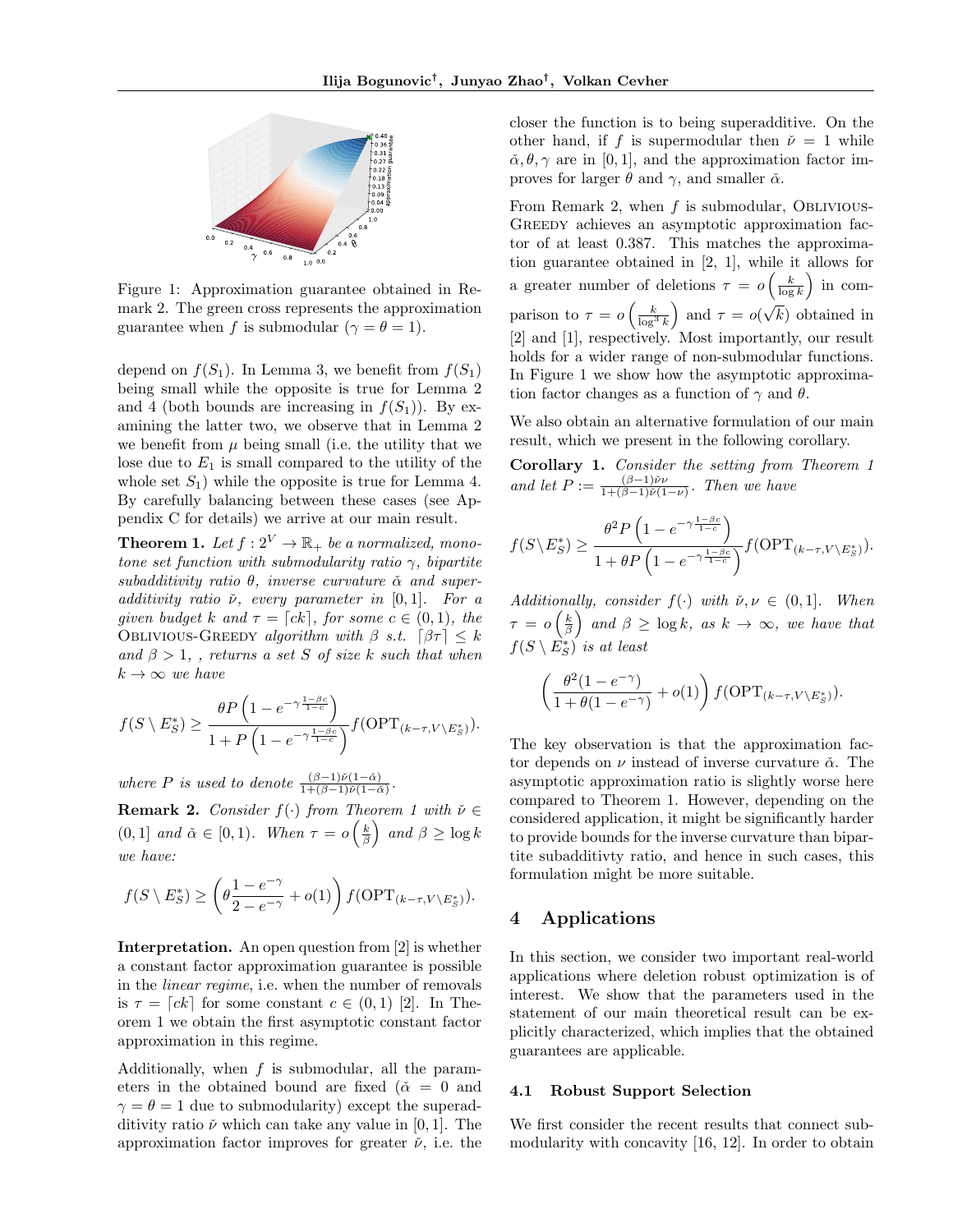

Figure 1: Approximation guarantee obtained in Remark 2. The green cross represents the approximation guarantee when f is submodular  $(\gamma = \theta = 1)$ .

depend on  $f(S_1)$ . In Lemma 3, we benefit from  $f(S_1)$ being small while the opposite is true for Lemma 2 and 4 (both bounds are increasing in  $f(S_1)$ ). By examining the latter two, we observe that in Lemma 2 we benefit from  $\mu$  being small (i.e. the utility that we lose due to  $E_1$  is small compared to the utility of the whole set  $S_1$ ) while the opposite is true for Lemma 4. By carefully balancing between these cases (see Appendix C for details) we arrive at our main result.

**Theorem 1.** Let  $f: 2^V \to \mathbb{R}_+$  be a normalized, monotone set function with submodularity ratio  $\gamma$ , bipartite subadditivity ratio  $\theta$ , inverse curvature  $\check{\alpha}$  and superadditivity ratio  $\check{\nu}$ , every parameter in [0,1]. For a given budget k and  $\tau = [ck]$ , for some  $c \in (0, 1)$ , the OBLIVIOUS-GREEDY algorithm with  $\beta$  s.t.  $\lceil \beta \tau \rceil \leq k$ and  $\beta > 1$ , , returns a set S of size k such that when  $k \to \infty$  we have

$$
f(S \setminus E_S^*) \ge \frac{\theta P\left(1 - e^{-\gamma \frac{1-\beta c}{1-c}}\right)}{1 + P\left(1 - e^{-\gamma \frac{1-\beta c}{1-c}}\right)} f(\text{OPT}_{(k-\tau,V \setminus E_S^*)}).
$$

where P is used to denote  $\frac{(\beta-1)\check{\nu}(1-\check{\alpha})}{1+(\beta-1)\check{\nu}(1-\check{\alpha})}$ .

**Remark 2.** Consider  $f(\cdot)$  from Theorem 1 with  $\check{\nu} \in$  $(0, 1]$  and  $\check{\alpha} \in [0, 1)$ . When  $\tau = o\left(\frac{k}{\beta}\right)$  and  $\beta \ge \log k$ we have:

$$
f(S \setminus E_S^*) \ge \left(\theta \frac{1 - e^{-\gamma}}{2 - e^{-\gamma}} + o(1)\right) f(\text{OPT}_{(k-\tau,V \setminus E_S^*)}).
$$

Interpretation. An open question from [2] is whether a constant factor approximation guarantee is possible in the linear regime, i.e. when the number of removals is  $\tau = [ck]$  for some constant  $c \in (0, 1)$  [2]. In Theorem 1 we obtain the first asymptotic constant factor approximation in this regime.

Additionally, when  $f$  is submodular, all the parameters in the obtained bound are fixed ( $\tilde{\alpha} = 0$  and  $\gamma = \theta = 1$  due to submodularity) except the superadditivity ratio  $\check{\nu}$  which can take any value in [0, 1]. The approximation factor improves for greater  $\check{\nu}$ , i.e. the closer the function is to being superadditive. On the other hand, if f is supermodular then  $\check{\nu} = 1$  while  $\check{\alpha}, \theta, \gamma$  are in [0, 1], and the approximation factor improves for larger  $\theta$  and  $\gamma$ , and smaller  $\check{\alpha}$ .

From Remark 2, when  $f$  is submodular, OBLIVIOUS-GREEDY achieves an asymptotic approximation factor of at least 0.387. This matches the approximation guarantee obtained in [2, 1], while it allows for a greater number of deletions  $\tau = o\left(\frac{k}{\log k}\right)$  in comparison to  $\tau = o\left(\frac{k}{\log^3 k}\right)$  and  $\tau = o\left(\frac{k}{\log^3 k}\right)$ √ k) obtained in [2] and [1], respectively. Most importantly, our result holds for a wider range of non-submodular functions. In Figure 1 we show how the asymptotic approximation factor changes as a function of  $\gamma$  and  $\theta$ .

We also obtain an alternative formulation of our main result, which we present in the following corollary.

Corollary 1. Consider the setting from Theorem 1 and let  $P := \frac{(\beta - 1)\check{\nu}\nu}{1 + (\beta - 1)\check{\nu}(1)}$  $\frac{(\beta-1)\nu\nu}{1+(\beta-1)\check{\nu}(1-\nu)}$ . Then we have

$$
f(S \setminus E_S^*) \ge \frac{\theta^2 P\left(1 - e^{-\gamma \frac{1-\beta c}{1-c}}\right)}{1 + \theta P\left(1 - e^{-\gamma \frac{1-\beta c}{1-c}}\right)} f(\text{OPT}_{(k-\tau,V \setminus E_S^*)}).
$$

Additionally, consider  $f(\cdot)$  with  $\check{\nu}, \nu \in (0, 1]$ . When  $\tau = o\left(\frac{k}{\beta}\right)$  and  $\beta \ge \log k$ , as  $k \to \infty$ , we have that  $f(S \setminus E_S^*)$  is at least

$$
\left(\frac{\theta^2(1-e^{-\gamma})}{1+\theta(1-e^{-\gamma})}+o(1)\right)f(\mathrm{OPT}_{(k-\tau,V\setminus E^*_S)}).
$$

The key observation is that the approximation factor depends on  $\nu$  instead of inverse curvature  $\check{\alpha}$ . The asymptotic approximation ratio is slightly worse here compared to Theorem 1. However, depending on the considered application, it might be significantly harder to provide bounds for the inverse curvature than bipartite subadditivty ratio, and hence in such cases, this formulation might be more suitable.

# 4 Applications

In this section, we consider two important real-world applications where deletion robust optimization is of interest. We show that the parameters used in the statement of our main theoretical result can be explicitly characterized, which implies that the obtained guarantees are applicable.

#### 4.1 Robust Support Selection

We first consider the recent results that connect submodularity with concavity [16, 12]. In order to obtain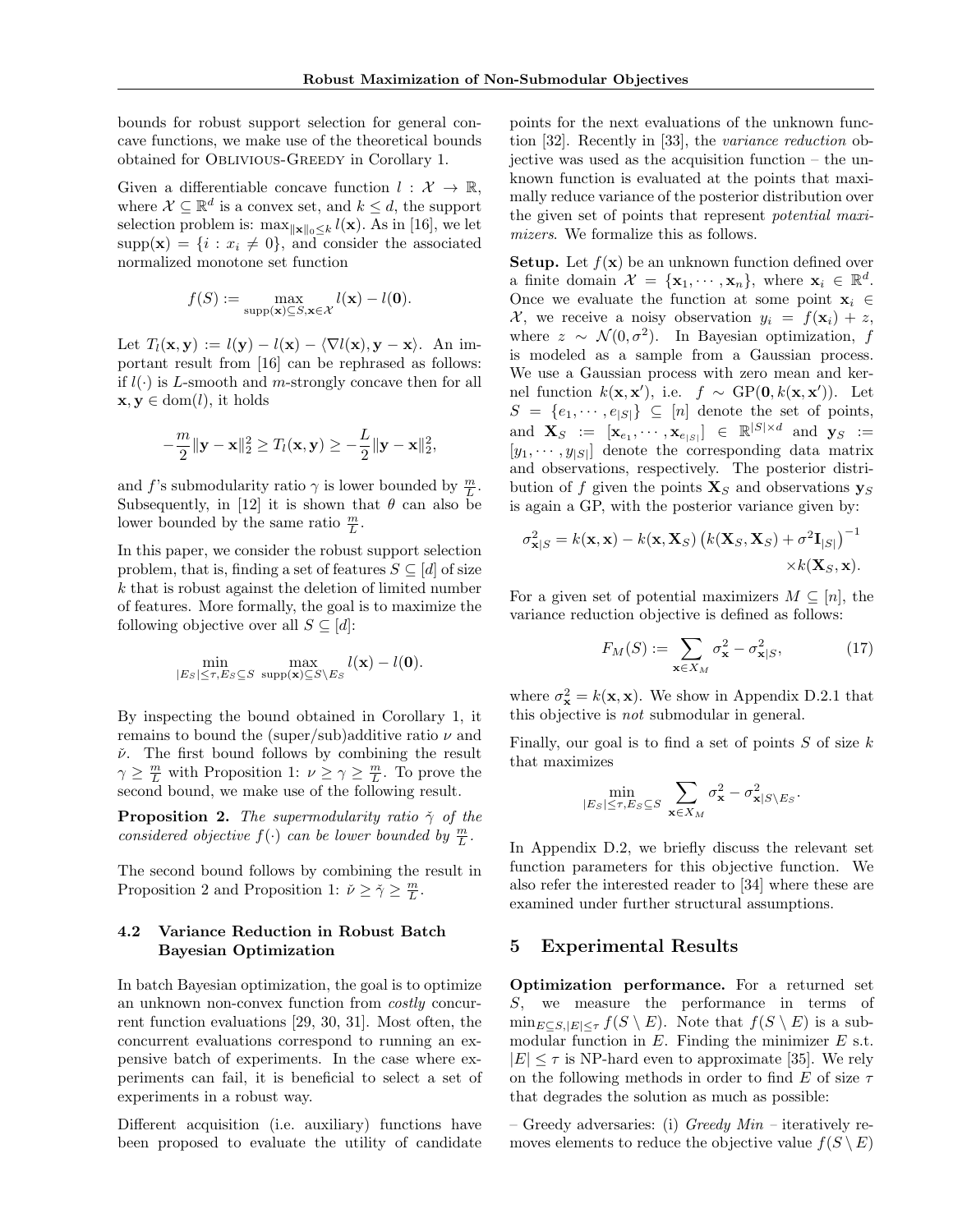bounds for robust support selection for general concave functions, we make use of the theoretical bounds obtained for Oblivious-Greedy in Corollary 1.

Given a differentiable concave function  $l : \mathcal{X} \to \mathbb{R}$ , where  $\mathcal{X} \subseteq \mathbb{R}^d$  is a convex set, and  $k \leq d$ , the support selection problem is:  $\max_{\|\mathbf{x}\|_0\leq k} l(\mathbf{x})$ . As in [16], we let  $supp(\mathbf{x}) = \{i : x_i \neq 0\}$ , and consider the associated normalized monotone set function

$$
f(S) := \max_{\text{supp}(\mathbf{x}) \subseteq S, \mathbf{x} \in \mathcal{X}} l(\mathbf{x}) - l(\mathbf{0}).
$$

Let  $T_l(\mathbf{x}, \mathbf{y}) := l(\mathbf{y}) - l(\mathbf{x}) - \langle \nabla l(\mathbf{x}), \mathbf{y} - \mathbf{x} \rangle$ . An important result from [16] can be rephrased as follows: if  $l(\cdot)$  is L-smooth and m-strongly concave then for all  $\mathbf{x}, \mathbf{y} \in \text{dom}(l)$ , it holds

$$
-\frac{m}{2}\|\mathbf{y}-\mathbf{x}\|_2^2 \geq T_l(\mathbf{x}, \mathbf{y}) \geq -\frac{L}{2}\|\mathbf{y}-\mathbf{x}\|_2^2,
$$

and f's submodularity ratio  $\gamma$  is lower bounded by  $\frac{m}{L}$ . Subsequently, in [12] it is shown that  $\theta$  can also be lower bounded by the same ratio  $\frac{m}{L}$ .

In this paper, we consider the robust support selection problem, that is, finding a set of features  $S \subseteq [d]$  of size  $k$  that is robust against the deletion of limited number of features. More formally, the goal is to maximize the following objective over all  $S \subseteq [d]$ :

$$
\min_{|E_S| \leq \tau, E_S \subseteq S} \max_{\text{supp}(\mathbf{x}) \subseteq S \setminus E_S} l(\mathbf{x}) - l(\mathbf{0}).
$$

By inspecting the bound obtained in Corollary 1, it remains to bound the (super/sub)additive ratio  $\nu$  and  $\check{\nu}$ . The first bound follows by combining the result  $\gamma \geq \frac{m}{L}$  with Proposition 1:  $\nu \geq \gamma \geq \frac{m}{L}$ . To prove the second bound, we make use of the following result.

**Proposition 2.** The supermodularity ratio  $\tilde{\gamma}$  of the considered objective  $f(\cdot)$  can be lower bounded by  $\frac{m}{L}$ .

The second bound follows by combining the result in Proposition 2 and Proposition 1:  $\check{\nu} \geq \check{\gamma} \geq \frac{m}{L}$ .

# 4.2 Variance Reduction in Robust Batch Bayesian Optimization

In batch Bayesian optimization, the goal is to optimize an unknown non-convex function from costly concurrent function evaluations [29, 30, 31]. Most often, the concurrent evaluations correspond to running an expensive batch of experiments. In the case where experiments can fail, it is beneficial to select a set of experiments in a robust way.

Different acquisition (i.e. auxiliary) functions have been proposed to evaluate the utility of candidate

points for the next evaluations of the unknown function [32]. Recently in [33], the variance reduction objective was used as the acquisition function – the unknown function is evaluated at the points that maximally reduce variance of the posterior distribution over the given set of points that represent potential maximizers. We formalize this as follows.

**Setup.** Let  $f(\mathbf{x})$  be an unknown function defined over a finite domain  $\mathcal{X} = {\mathbf{x}_1, \cdots, \mathbf{x}_n}$ , where  $\mathbf{x}_i \in \mathbb{R}^d$ . Once we evaluate the function at some point  $x_i \in$ X, we receive a noisy observation  $y_i = f(\mathbf{x}_i) + z$ , where  $z \sim \mathcal{N}(0, \sigma^2)$ . In Bayesian optimization, f is modeled as a sample from a Gaussian process. We use a Gaussian process with zero mean and kernel function  $k(\mathbf{x}, \mathbf{x}')$ , i.e.  $f \sim GP(\mathbf{0}, k(\mathbf{x}, \mathbf{x}'))$ . Let  $S = \{e_1, \dots, e_{|S|}\} \subseteq [n]$  denote the set of points, and  $\mathbf{X}_S := [\mathbf{x}_{e_1}, \cdots, \mathbf{x}_{e_{|S|}}] \in \mathbb{R}^{|S| \times d}$  and  $\mathbf{y}_S :=$  $[y_1, \dots, y_{|S|}]$  denote the corresponding data matrix and observations, respectively. The posterior distribution of f given the points  $\mathbf{X}_S$  and observations  $\mathbf{y}_S$ is again a GP, with the posterior variance given by:

$$
\sigma_{\mathbf{x}|S}^2 = k(\mathbf{x}, \mathbf{x}) - k(\mathbf{x}, \mathbf{X}_S) \left( k(\mathbf{X}_S, \mathbf{X}_S) + \sigma^2 \mathbf{I}_{|S|} \right)^{-1} \times k(\mathbf{X}_S, \mathbf{x}).
$$

For a given set of potential maximizers  $M \subseteq [n]$ , the variance reduction objective is defined as follows:

$$
F_M(S) := \sum_{\mathbf{x} \in X_M} \sigma_{\mathbf{x}}^2 - \sigma_{\mathbf{x}|S}^2,\tag{17}
$$

where  $\sigma_{\mathbf{x}}^2 = k(\mathbf{x}, \mathbf{x})$ . We show in Appendix D.2.1 that this objective is not submodular in general.

Finally, our goal is to find a set of points  $S$  of size  $k$ that maximizes

$$
\min_{|E_S| \le \tau, E_S \subseteq S} \sum_{\mathbf{x} \in X_M} \sigma_{\mathbf{x}}^2 - \sigma_{\mathbf{x}|S \setminus E_S}^2.
$$

In Appendix D.2, we briefly discuss the relevant set function parameters for this objective function. We also refer the interested reader to [34] where these are examined under further structural assumptions.

# 5 Experimental Results

Optimization performance. For a returned set S, we measure the performance in terms of  $\min_{E \subseteq S, |E| \leq \tau} f(S \setminus E)$ . Note that  $f(S \setminus E)$  is a submodular function in  $E$ . Finding the minimizer  $E$  s.t.  $|E| < \tau$  is NP-hard even to approximate [35]. We rely on the following methods in order to find E of size  $\tau$ that degrades the solution as much as possible:

– Greedy adversaries: (i)  $Greedy Min$  – iteratively removes elements to reduce the objective value  $f(S \setminus E)$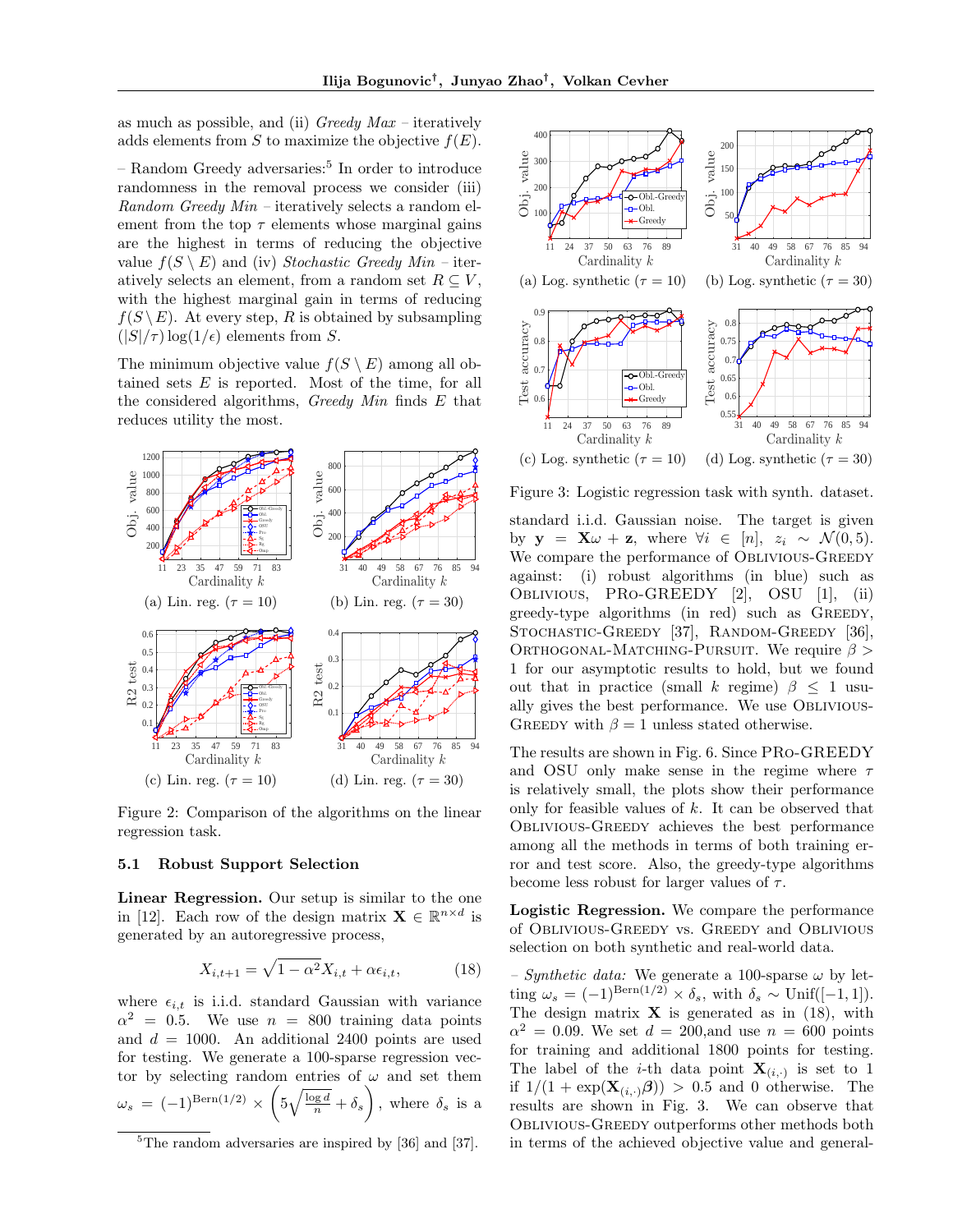as much as possible, and (ii)  $Greedy Max - iteratively$ adds elements from S to maximize the objective  $f(E)$ .

– Random Greedy adversaries:<sup>5</sup> In order to introduce randomness in the removal process we consider (iii) Random Greedy Min – iteratively selects a random element from the top  $\tau$  elements whose marginal gains are the highest in terms of reducing the objective value  $f(S \setminus E)$  and (iv) Stochastic Greedy Min – iteratively selects an element, from a random set  $R \subseteq V$ , with the highest marginal gain in terms of reducing  $f(S \backslash E)$ . At every step, R is obtained by subsampling  $(|S|/\tau)$  log(1/ $\epsilon$ ) elements from S.

The minimum objective value  $f(S \setminus E)$  among all obtained sets  $E$  is reported. Most of the time, for all the considered algorithms, Greedy Min finds  $E$  that reduces utility the most.



Figure 2: Comparison of the algorithms on the linear regression task.

#### 5.1 Robust Support Selection

Linear Regression. Our setup is similar to the one in [12]. Each row of the design matrix  $\mathbf{X} \in \mathbb{R}^{n \times d}$  is generated by an autoregressive process,

$$
X_{i,t+1} = \sqrt{1 - \alpha^2} X_{i,t} + \alpha \epsilon_{i,t}, \tag{18}
$$

where  $\epsilon_{i,t}$  is i.i.d. standard Gaussian with variance  $\alpha^2 = 0.5$ . We use  $n = 800$  training data points and  $d = 1000$ . An additional 2400 points are used for testing. We generate a 100-sparse regression vector by selecting random entries of  $\omega$  and set them  $\omega_s = (-1)^{\text{Bern}(1/2)} \times \left(5\sqrt{\frac{\log d}{n}} + \delta_s\right)$ , where  $\delta_s$  is a



Figure 3: Logistic regression task with synth. dataset.

standard i.i.d. Gaussian noise. The target is given by  $\mathbf{y} = \mathbf{X}\omega + \mathbf{z}$ , where  $\forall i \in [n], z_i \sim \mathcal{N}(0, 5)$ . We compare the performance of OBLIVIOUS-GREEDY against: (i) robust algorithms (in blue) such as Oblivious, PRo-GREEDY [2], OSU [1], (ii) greedy-type algorithms (in red) such as GREEDY, STOCHASTIC-GREEDY [37], RANDOM-GREEDY [36], ORTHOGONAL-MATCHING-PURSUIT. We require  $\beta >$ 1 for our asymptotic results to hold, but we found out that in practice (small k regime)  $\beta \leq 1$  usually gives the best performance. We use Oblivious-GREEDY with  $\beta = 1$  unless stated otherwise.

The results are shown in Fig. 6. Since PRo-GREEDY and OSU only make sense in the regime where  $\tau$ is relatively small, the plots show their performance only for feasible values of  $k$ . It can be observed that Oblivious-Greedy achieves the best performance among all the methods in terms of both training error and test score. Also, the greedy-type algorithms become less robust for larger values of  $\tau$ .

Logistic Regression. We compare the performance of Oblivious-Greedy vs. Greedy and Oblivious selection on both synthetic and real-world data.

– Synthetic data: We generate a 100-sparse  $\omega$  by letting  $\omega_s = (-1)^{\text{Bern}(1/2)} \times \delta_s$ , with  $\delta_s \sim \text{Unif}([-1, 1]).$ The design matrix  $\bf{X}$  is generated as in (18), with  $\alpha^2 = 0.09$ . We set  $d = 200$ , and use  $n = 600$  points for training and additional 1800 points for testing. The label of the *i*-th data point  $\mathbf{X}_{(i,\cdot)}$  is set to 1 if  $1/(1 + \exp(\mathbf{X}_{(i,\cdot)}\boldsymbol{\beta})) > 0.5$  and 0 otherwise. The results are shown in Fig. 3. We can observe that Oblivious-Greedy outperforms other methods both in terms of the achieved objective value and general-

 ${}^{5}$ The random adversaries are inspired by [36] and [37].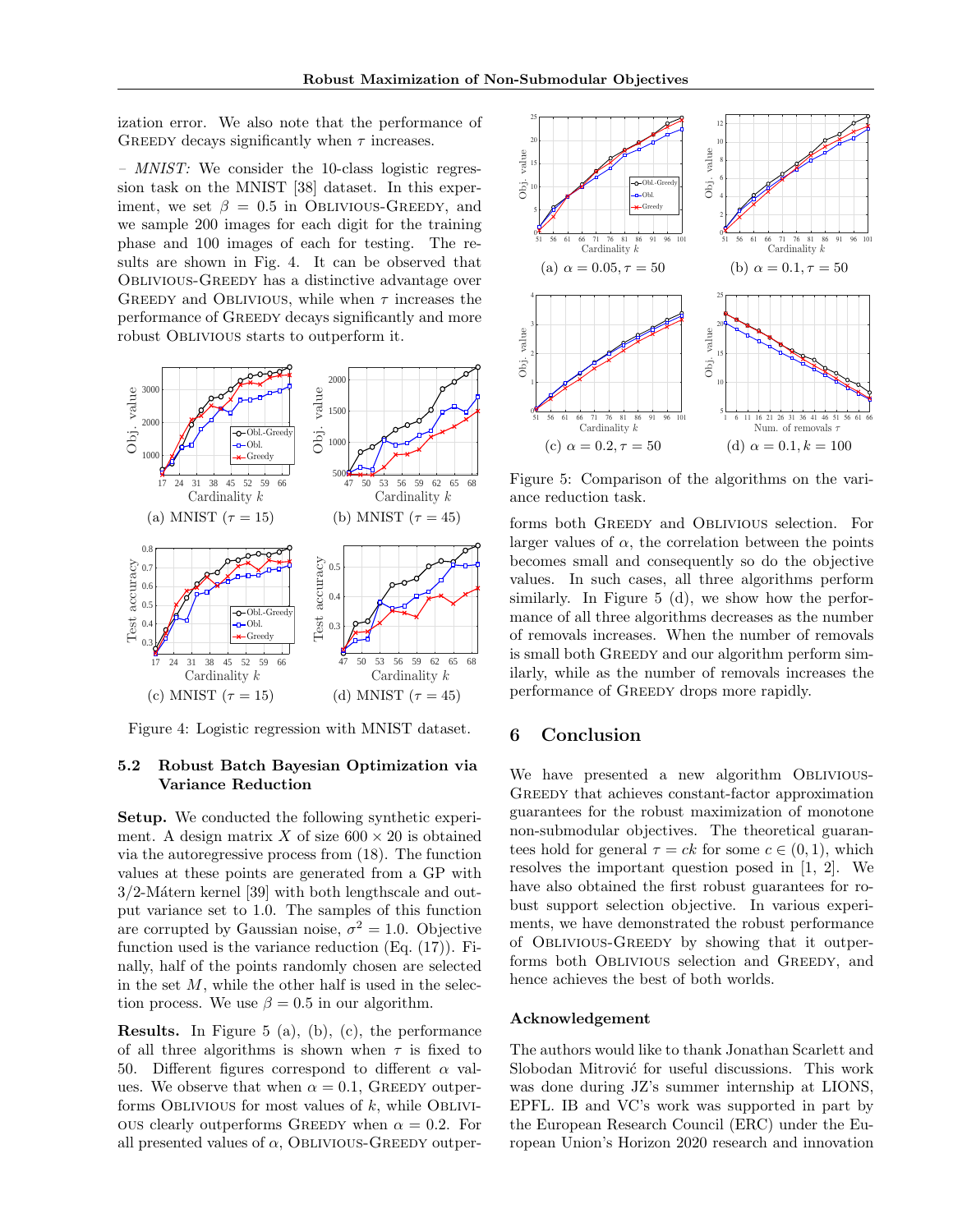ization error. We also note that the performance of GREEDY decays significantly when  $\tau$  increases.

– MNIST: We consider the 10-class logistic regression task on the MNIST [38] dataset. In this experiment, we set  $\beta = 0.5$  in OBLIVIOUS-GREEDY, and we sample 200 images for each digit for the training phase and 100 images of each for testing. The results are shown in Fig. 4. It can be observed that Oblivious-Greedy has a distinctive advantage over GREEDY and OBLIVIOUS, while when  $\tau$  increases the performance of Greedy decays significantly and more robust Oblivious starts to outperform it.



Figure 4: Logistic regression with MNIST dataset.

# 5.2 Robust Batch Bayesian Optimization via Variance Reduction

Setup. We conducted the following synthetic experiment. A design matrix X of size  $600 \times 20$  is obtained via the autoregressive process from (18). The function values at these points are generated from a GP with  $3/2$ -Mátern kernel [39] with both lengthscale and output variance set to 1.0. The samples of this function are corrupted by Gaussian noise,  $\sigma^2 = 1.0$ . Objective function used is the variance reduction (Eq. (17)). Finally, half of the points randomly chosen are selected in the set  $M$ , while the other half is used in the selection process. We use  $\beta = 0.5$  in our algorithm.

Results. In Figure 5 (a), (b), (c), the performance of all three algorithms is shown when  $\tau$  is fixed to 50. Different figures correspond to different  $\alpha$  values. We observe that when  $\alpha = 0.1$ , GREEDY outperforms Oblivious for most values of  $k$ , while Oblivious clearly outperforms GREEDY when  $\alpha = 0.2$ . For all presented values of  $\alpha$ , Oblivious-Greeny outper-



Figure 5: Comparison of the algorithms on the variance reduction task.

forms both Greedy and Oblivious selection. For larger values of  $\alpha$ , the correlation between the points becomes small and consequently so do the objective values. In such cases, all three algorithms perform similarly. In Figure 5 (d), we show how the performance of all three algorithms decreases as the number of removals increases. When the number of removals is small both GREEDY and our algorithm perform similarly, while as the number of removals increases the performance of GREEDY drops more rapidly.

# 6 Conclusion

We have presented a new algorithm OBLIVIOUS-Greedy that achieves constant-factor approximation guarantees for the robust maximization of monotone non-submodular objectives. The theoretical guarantees hold for general  $\tau = ck$  for some  $c \in (0, 1)$ , which resolves the important question posed in [1, 2]. We have also obtained the first robust guarantees for robust support selection objective. In various experiments, we have demonstrated the robust performance of Oblivious-Greedy by showing that it outperforms both Oblivious selection and Greedy, and hence achieves the best of both worlds.

#### Acknowledgement

The authors would like to thank Jonathan Scarlett and Slobodan Mitrović for useful discussions. This work was done during JZ's summer internship at LIONS, EPFL. IB and VC's work was supported in part by the European Research Council (ERC) under the European Union's Horizon 2020 research and innovation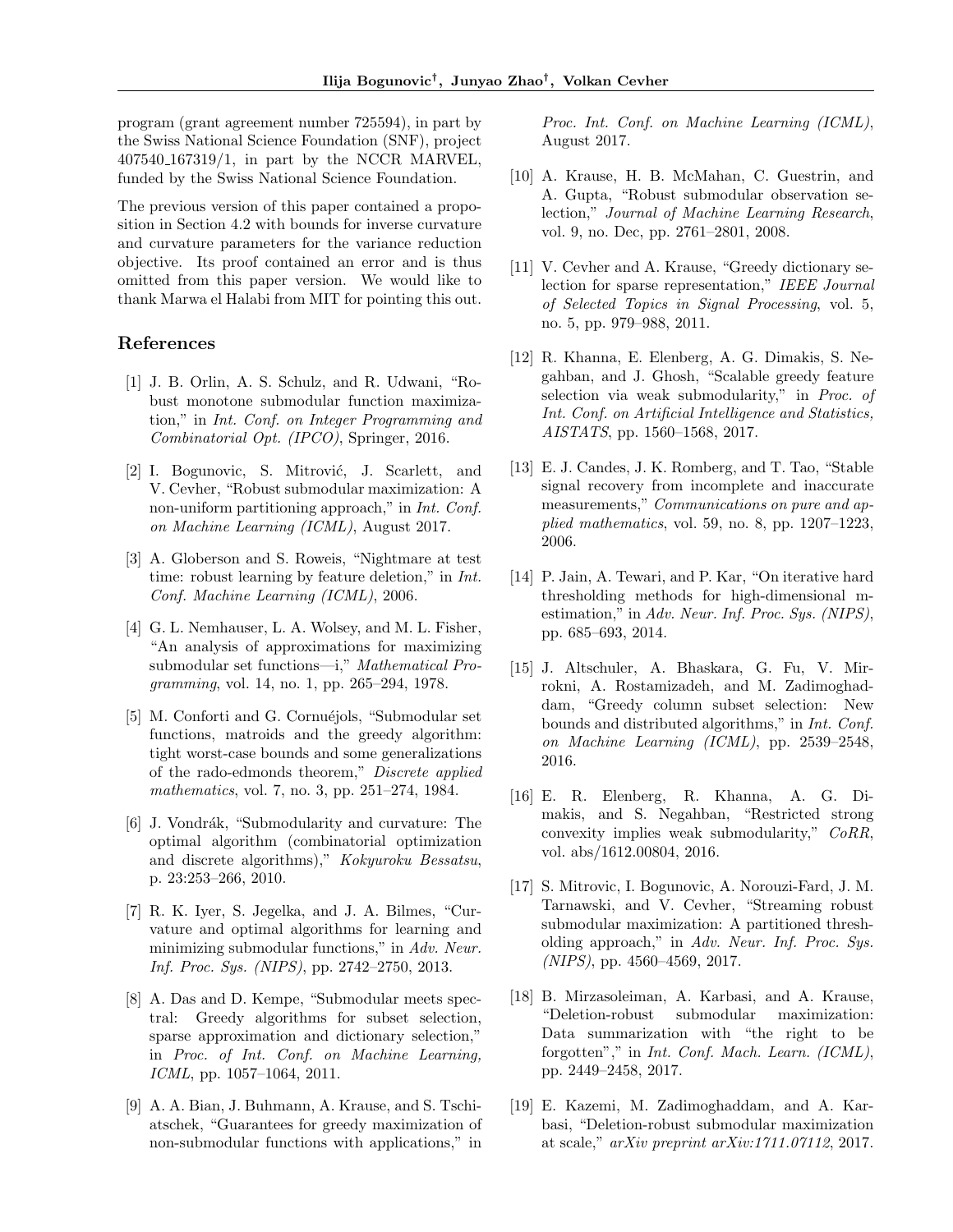program (grant agreement number 725594), in part by the Swiss National Science Foundation (SNF), project 407540 167319/1, in part by the NCCR MARVEL, funded by the Swiss National Science Foundation.

The previous version of this paper contained a proposition in Section 4.2 with bounds for inverse curvature and curvature parameters for the variance reduction objective. Its proof contained an error and is thus omitted from this paper version. We would like to thank Marwa el Halabi from MIT for pointing this out.

# References

- [1] J. B. Orlin, A. S. Schulz, and R. Udwani, "Robust monotone submodular function maximization," in Int. Conf. on Integer Programming and Combinatorial Opt. (IPCO), Springer, 2016.
- [2] I. Bogunovic, S. Mitrović, J. Scarlett, and V. Cevher, "Robust submodular maximization: A non-uniform partitioning approach," in *Int. Conf.* on Machine Learning (ICML), August 2017.
- [3] A. Globerson and S. Roweis, "Nightmare at test time: robust learning by feature deletion," in Int. Conf. Machine Learning (ICML), 2006.
- [4] G. L. Nemhauser, L. A. Wolsey, and M. L. Fisher, "An analysis of approximations for maximizing submodular set functions—i," Mathematical Programming, vol. 14, no. 1, pp. 265–294, 1978.
- [5] M. Conforti and G. Cornuéjols, "Submodular set functions, matroids and the greedy algorithm: tight worst-case bounds and some generalizations of the rado-edmonds theorem," Discrete applied mathematics, vol. 7, no. 3, pp. 251–274, 1984.
- [6] J. Vondrák, "Submodularity and curvature: The optimal algorithm (combinatorial optimization and discrete algorithms)," Kokyuroku Bessatsu, p. 23:253–266, 2010.
- [7] R. K. Iyer, S. Jegelka, and J. A. Bilmes, "Curvature and optimal algorithms for learning and minimizing submodular functions," in Adv. Neur. Inf. Proc. Sys. (NIPS), pp. 2742–2750, 2013.
- [8] A. Das and D. Kempe, "Submodular meets spectral: Greedy algorithms for subset selection, sparse approximation and dictionary selection," in Proc. of Int. Conf. on Machine Learning, ICML, pp. 1057–1064, 2011.
- [9] A. A. Bian, J. Buhmann, A. Krause, and S. Tschiatschek, "Guarantees for greedy maximization of non-submodular functions with applications," in

Proc. Int. Conf. on Machine Learning (ICML), August 2017.

- [10] A. Krause, H. B. McMahan, C. Guestrin, and A. Gupta, "Robust submodular observation selection," Journal of Machine Learning Research, vol. 9, no. Dec, pp. 2761–2801, 2008.
- [11] V. Cevher and A. Krause, "Greedy dictionary selection for sparse representation," IEEE Journal of Selected Topics in Signal Processing, vol. 5, no. 5, pp. 979–988, 2011.
- [12] R. Khanna, E. Elenberg, A. G. Dimakis, S. Negahban, and J. Ghosh, "Scalable greedy feature selection via weak submodularity," in Proc. of Int. Conf. on Artificial Intelligence and Statistics, AISTATS, pp. 1560–1568, 2017.
- [13] E. J. Candes, J. K. Romberg, and T. Tao, "Stable signal recovery from incomplete and inaccurate measurements," Communications on pure and applied mathematics, vol. 59, no. 8, pp. 1207–1223, 2006.
- [14] P. Jain, A. Tewari, and P. Kar, "On iterative hard thresholding methods for high-dimensional mestimation," in Adv. Neur. Inf. Proc. Sys. (NIPS), pp. 685–693, 2014.
- [15] J. Altschuler, A. Bhaskara, G. Fu, V. Mirrokni, A. Rostamizadeh, and M. Zadimoghaddam, "Greedy column subset selection: New bounds and distributed algorithms," in Int. Conf. on Machine Learning (ICML), pp. 2539–2548, 2016.
- [16] E. R. Elenberg, R. Khanna, A. G. Dimakis, and S. Negahban, "Restricted strong convexity implies weak submodularity," CoRR, vol. abs/1612.00804, 2016.
- [17] S. Mitrovic, I. Bogunovic, A. Norouzi-Fard, J. M. Tarnawski, and V. Cevher, "Streaming robust submodular maximization: A partitioned thresholding approach," in Adv. Neur. Inf. Proc. Sys. (NIPS), pp. 4560–4569, 2017.
- [18] B. Mirzasoleiman, A. Karbasi, and A. Krause, "Deletion-robust submodular maximization: Data summarization with "the right to be forgotten"," in Int. Conf. Mach. Learn. (ICML), pp. 2449–2458, 2017.
- [19] E. Kazemi, M. Zadimoghaddam, and A. Karbasi, "Deletion-robust submodular maximization at scale," arXiv preprint arXiv:1711.07112, 2017.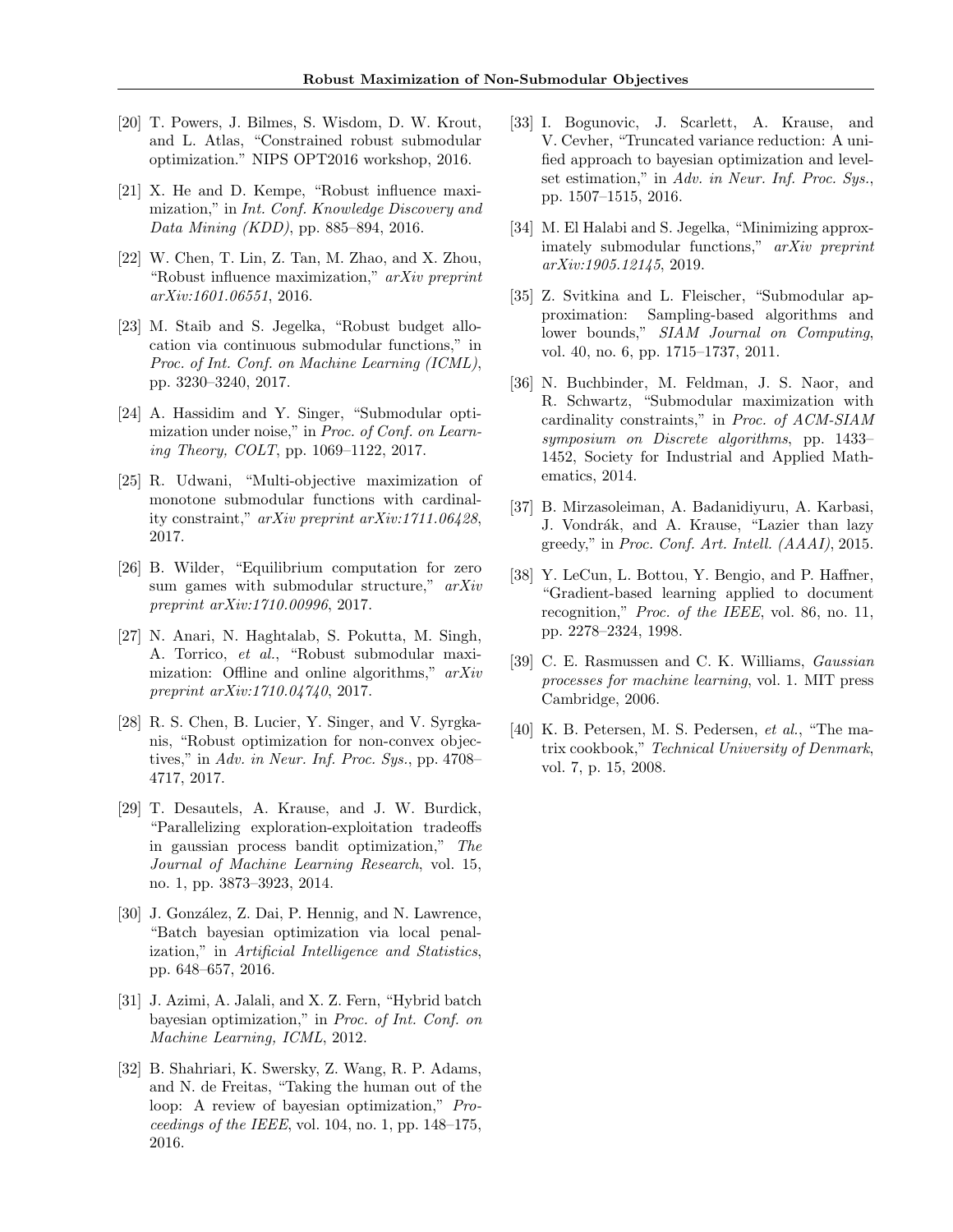- [20] T. Powers, J. Bilmes, S. Wisdom, D. W. Krout, and L. Atlas, "Constrained robust submodular optimization." NIPS OPT2016 workshop, 2016.
- [21] X. He and D. Kempe, "Robust influence maximization," in Int. Conf. Knowledge Discovery and Data Mining (KDD), pp. 885–894, 2016.
- [22] W. Chen, T. Lin, Z. Tan, M. Zhao, and X. Zhou, "Robust influence maximization," arXiv preprint arXiv:1601.06551, 2016.
- [23] M. Staib and S. Jegelka, "Robust budget allocation via continuous submodular functions," in Proc. of Int. Conf. on Machine Learning (ICML), pp. 3230–3240, 2017.
- [24] A. Hassidim and Y. Singer, "Submodular optimization under noise," in Proc. of Conf. on Learning Theory, COLT, pp. 1069–1122, 2017.
- [25] R. Udwani, "Multi-objective maximization of monotone submodular functions with cardinality constraint," arXiv preprint arXiv:1711.06428, 2017.
- [26] B. Wilder, "Equilibrium computation for zero sum games with submodular structure,"  $arXiv$ preprint arXiv:1710.00996, 2017.
- [27] N. Anari, N. Haghtalab, S. Pokutta, M. Singh, A. Torrico, et al., "Robust submodular maximization: Offline and online algorithms,"  $arXiv$ preprint arXiv:1710.04740, 2017.
- [28] R. S. Chen, B. Lucier, Y. Singer, and V. Syrgkanis, "Robust optimization for non-convex objectives," in Adv. in Neur. Inf. Proc. Sys., pp. 4708– 4717, 2017.
- [29] T. Desautels, A. Krause, and J. W. Burdick, "Parallelizing exploration-exploitation tradeoffs in gaussian process bandit optimization," The Journal of Machine Learning Research, vol. 15, no. 1, pp. 3873–3923, 2014.
- [30] J. González, Z. Dai, P. Hennig, and N. Lawrence, "Batch bayesian optimization via local penalization," in Artificial Intelligence and Statistics, pp. 648–657, 2016.
- [31] J. Azimi, A. Jalali, and X. Z. Fern, "Hybrid batch bayesian optimization," in Proc. of Int. Conf. on Machine Learning, ICML, 2012.
- [32] B. Shahriari, K. Swersky, Z. Wang, R. P. Adams, and N. de Freitas, "Taking the human out of the loop: A review of bayesian optimization," Proceedings of the IEEE, vol.  $104$ , no. 1, pp.  $148-175$ , 2016.
- [33] I. Bogunovic, J. Scarlett, A. Krause, and V. Cevher, "Truncated variance reduction: A unified approach to bayesian optimization and levelset estimation," in Adv. in Neur. Inf. Proc. Sys., pp. 1507–1515, 2016.
- [34] M. El Halabi and S. Jegelka, "Minimizing approximately submodular functions," arXiv preprint arXiv:1905.12145, 2019.
- [35] Z. Svitkina and L. Fleischer, "Submodular approximation: Sampling-based algorithms and lower bounds," SIAM Journal on Computing, vol. 40, no. 6, pp. 1715–1737, 2011.
- [36] N. Buchbinder, M. Feldman, J. S. Naor, and R. Schwartz, "Submodular maximization with cardinality constraints," in Proc. of ACM-SIAM symposium on Discrete algorithms, pp. 1433– 1452, Society for Industrial and Applied Mathematics, 2014.
- [37] B. Mirzasoleiman, A. Badanidiyuru, A. Karbasi, J. Vondrák, and A. Krause, "Lazier than lazy greedy," in Proc. Conf. Art. Intell. (AAAI), 2015.
- [38] Y. LeCun, L. Bottou, Y. Bengio, and P. Haffner, "Gradient-based learning applied to document recognition," *Proc. of the IEEE*, vol. 86, no. 11, pp. 2278–2324, 1998.
- [39] C. E. Rasmussen and C. K. Williams, *Gaussian* processes for machine learning, vol. 1. MIT press Cambridge, 2006.
- [40] K. B. Petersen, M. S. Pedersen, et al., "The matrix cookbook," Technical University of Denmark, vol. 7, p. 15, 2008.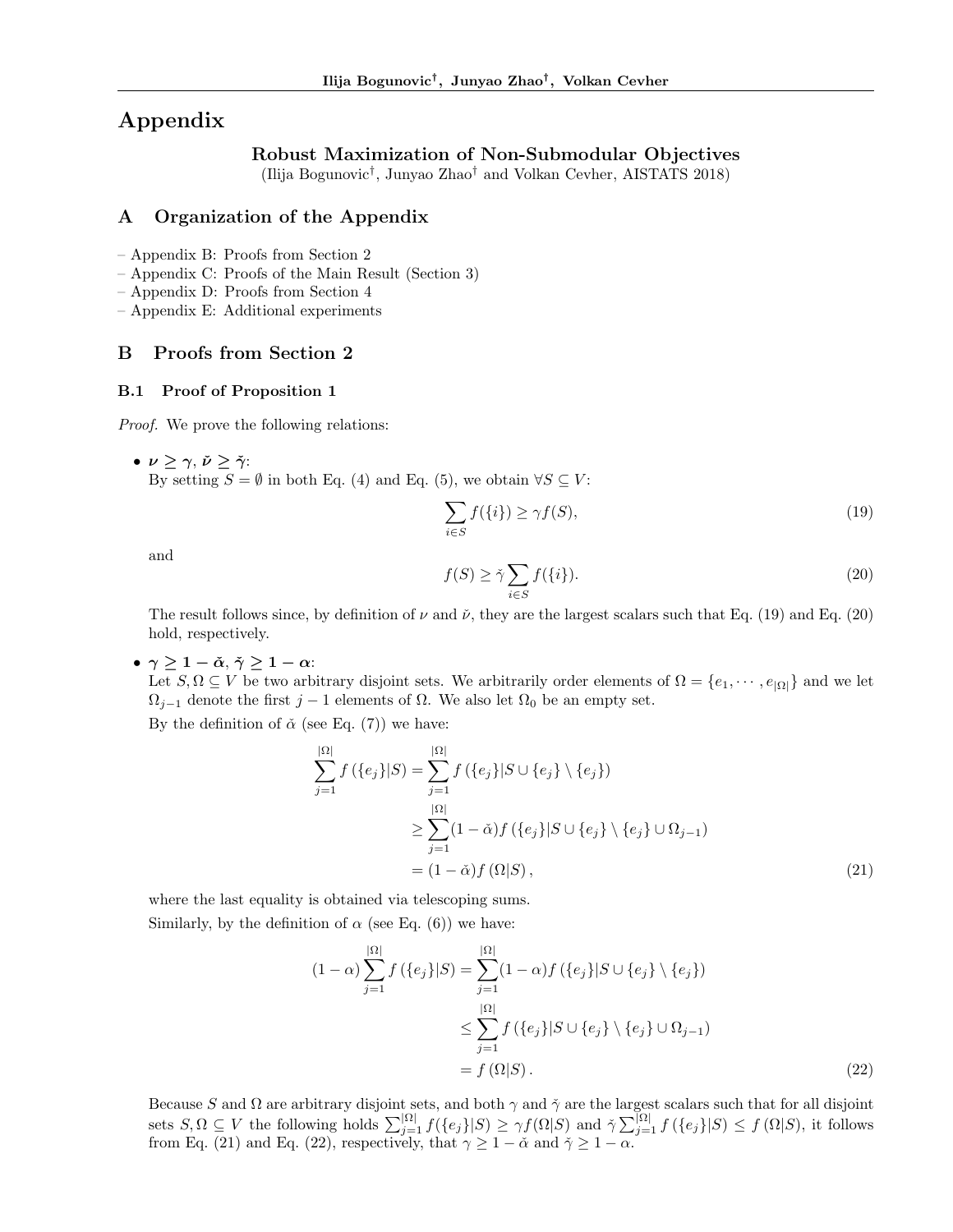# Appendix

# Robust Maximization of Non-Submodular Objectives

(Ilija Bogunovic† , Junyao Zhao† and Volkan Cevher, AISTATS 2018)

# A Organization of the Appendix

– Appendix B: Proofs from Section 2

– Appendix C: Proofs of the Main Result (Section 3)

– Appendix D: Proofs from Section 4

– Appendix E: Additional experiments

# B Proofs from Section 2

### B.1 Proof of Proposition 1

Proof. We prove the following relations:

•  $\nu \geq \gamma$ ,  $\check{\nu} \geq \check{\gamma}$ : By setting  $S = \emptyset$  in both Eq. (4) and Eq. (5), we obtain  $\forall S \subseteq V$ :

$$
\sum_{i \in S} f(\{i\}) \ge \gamma f(S),\tag{19}
$$

and

$$
f(S) \ge \tilde{\gamma} \sum_{i \in S} f(\{i\}).\tag{20}
$$

The result follows since, by definition of  $\nu$  and  $\check{\nu}$ , they are the largest scalars such that Eq. (19) and Eq. (20) hold, respectively.

•  $\gamma \geq 1 - \check{\alpha}, \check{\gamma} \geq 1 - \alpha$ :

Let  $S, \Omega \subseteq V$  be two arbitrary disjoint sets. We arbitrarily order elements of  $\Omega = \{e_1, \dots, e_{|\Omega|}\}\$  and we let  $\Omega_{j-1}$  denote the first j – 1 elements of  $\Omega$ . We also let  $\Omega_0$  be an empty set.

By the definition of  $\check{\alpha}$  (see Eq. (7)) we have:

$$
\sum_{j=1}^{|\Omega|} f(\{e_j\}|S) = \sum_{j=1}^{|\Omega|} f(\{e_j\}|S \cup \{e_j\} \setminus \{e_j\})
$$
  
\n
$$
\geq \sum_{j=1}^{|\Omega|} (1 - \check{\alpha}) f(\{e_j\}|S \cup \{e_j\} \setminus \{e_j\} \cup \Omega_{j-1})
$$
  
\n
$$
= (1 - \check{\alpha}) f(\Omega|S), \tag{21}
$$

where the last equality is obtained via telescoping sums. Similarly, by the definition of  $\alpha$  (see Eq. (6)) we have:

$$
(1 - \alpha) \sum_{j=1}^{|\Omega|} f(\{e_j\}|S) = \sum_{j=1}^{|\Omega|} (1 - \alpha) f(\{e_j\}|S \cup \{e_j\} \setminus \{e_j\})
$$
  

$$
\leq \sum_{j=1}^{|\Omega|} f(\{e_j\}|S \cup \{e_j\} \setminus \{e_j\} \cup \Omega_{j-1})
$$
  

$$
= f(\Omega|S).
$$
 (22)

Because S and  $\Omega$  are arbitrary disjoint sets, and both  $\gamma$  and  $\tilde{\gamma}$  are the largest scalars such that for all disjoint sets  $S, \Omega \subseteq V$  the following holds  $\sum_{j=1}^{|\Omega|} f(\{e_j\}|S) \geq \gamma f(\Omega|S)$  and  $\check{\gamma} \sum_{j=1}^{|\Omega|} f(\{e_j\}|S) \leq f(\Omega|S)$ , it follows from Eq. (21) and Eq. (22), respectively, that  $\gamma \geq 1 - \alpha$  and  $\gamma \geq 1 - \alpha$ .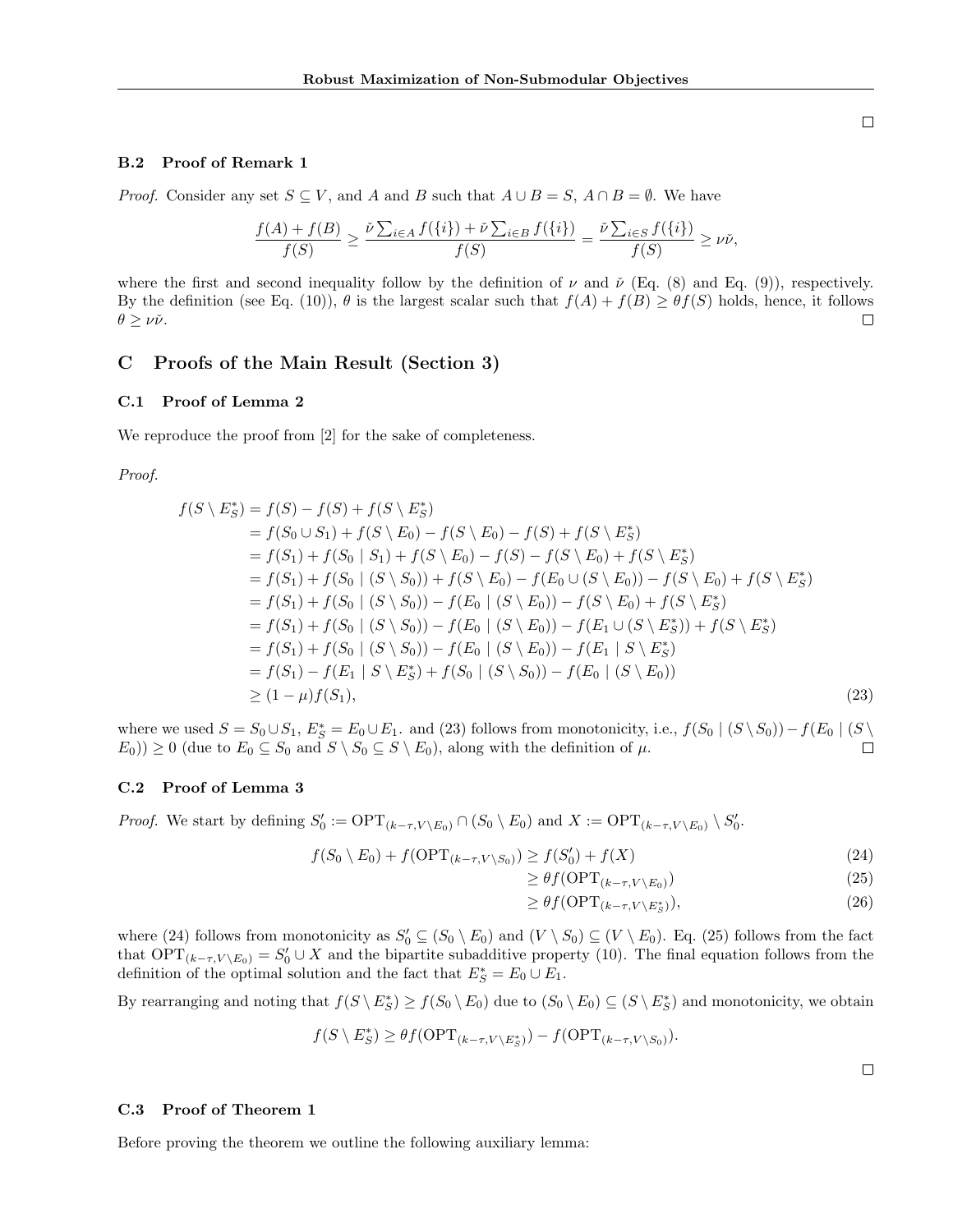#### B.2 Proof of Remark 1

*Proof.* Consider any set  $S \subseteq V$ , and A and B such that  $A \cup B = S$ ,  $A \cap B = \emptyset$ . We have

$$
\frac{f(A)+f(B)}{f(S)} \ge \frac{\check{\nu}\sum_{i\in A}f(\{i\})+\check{\nu}\sum_{i\in B}f(\{i\})}{f(S)} = \frac{\check{\nu}\sum_{i\in S}f(\{i\})}{f(S)} \ge \nu\check{\nu},
$$

where the first and second inequality follow by the definition of  $\nu$  and  $\check{\nu}$  (Eq. (8) and Eq. (9)), respectively. By the definition (see Eq. (10)),  $\theta$  is the largest scalar such that  $f(A) + f(B) \geq \theta f(S)$  holds, hence, it follows  $\theta > \nu \check{\nu}$ .  $\Box$ 

# C Proofs of the Main Result (Section 3)

#### C.1 Proof of Lemma 2

We reproduce the proof from [2] for the sake of completeness.

Proof.

$$
f(S \setminus E_S^*) = f(S) - f(S) + f(S \setminus E_S^*)
$$
  
=  $f(S_0 \cup S_1) + f(S \setminus E_0) - f(S \setminus E_0) - f(S) + f(S \setminus E_S^*)$   
=  $f(S_1) + f(S_0 | S_1) + f(S \setminus E_0) - f(S) - f(S \setminus E_0) + f(S \setminus E_S^*)$   
=  $f(S_1) + f(S_0 | (S \setminus S_0)) + f(S \setminus E_0) - f(E_0 \cup (S \setminus E_0)) - f(S \setminus E_0) + f(S \setminus E_S^*)$   
=  $f(S_1) + f(S_0 | (S \setminus S_0)) - f(E_0 | (S \setminus E_0)) - f(S \setminus E_0) + f(S \setminus E_S^*)$   
=  $f(S_1) + f(S_0 | (S \setminus S_0)) - f(E_0 | (S \setminus E_0)) - f(E_1 | S \setminus E_S^*)$   
=  $f(S_1) + f(S_0 | (S \setminus S_0)) - f(E_0 | (S \setminus E_0)) - f(E_1 | S \setminus E_S^*)$   
=  $f(S_1) - f(E_1 | S \setminus E_S^*) + f(S_0 | (S \setminus S_0)) - f(E_0 | (S \setminus E_0))$   
  $\geq (1 - \mu) f(S_1),$  (23)

where we used  $S = S_0 \cup S_1$ ,  $E_S^* = E_0 \cup E_1$ . and (23) follows from monotonicity, i.e.,  $f(S_0 | (S \setminus S_0)) - f(E_0 | (S \setminus S_1))$  $E_0$ ))  $\geq 0$  (due to  $E_0 \subseteq S_0$  and  $S \setminus S_0 \subseteq S \setminus E_0$ ), along with the definition of  $\mu$ .  $\Box$ 

#### C.2 Proof of Lemma 3

*Proof.* We start by defining  $S'_0 := \text{OPT}_{(k-\tau,V \setminus E_0)} \cap (S_0 \setminus E_0)$  and  $X := \text{OPT}_{(k-\tau,V \setminus E_0)} \setminus S'_0$ .

$$
f(S_0 \setminus E_0) + f(\text{OPT}_{(k-\tau,V \setminus S_0)}) \ge f(S'_0) + f(X)
$$
\n(24)

$$
\geq \theta f(\text{OPT}_{(k-\tau,V\setminus E_0)})\tag{25}
$$

$$
\geq \theta f(\text{OPT}_{(k-\tau,V\setminus E^*_S)}),\tag{26}
$$

where (24) follows from monotonicity as  $S'_0 \subseteq (S_0 \setminus E_0)$  and  $(V \setminus S_0) \subseteq (V \setminus E_0)$ . Eq. (25) follows from the fact that  $OPT_{(k-\tau,V \setminus E_0)} = S'_0 \cup X$  and the bipartite subadditive property (10). The final equation follows from the definition of the optimal solution and the fact that  $E_S^* = E_0 \cup E_1$ .

By rearranging and noting that  $f(S \setminus E_S^*) \ge f(S_0 \setminus E_0)$  due to  $(S_0 \setminus E_0) \subseteq (S \setminus E_S^*)$  and monotonicity, we obtain

$$
f(S \setminus E_S^*) \ge \theta f(\text{OPT}_{(k-\tau,V \setminus E_S^*)}) - f(\text{OPT}_{(k-\tau,V \setminus S_0)}).
$$

 $\Box$ 

### C.3 Proof of Theorem 1

Before proving the theorem we outline the following auxiliary lemma: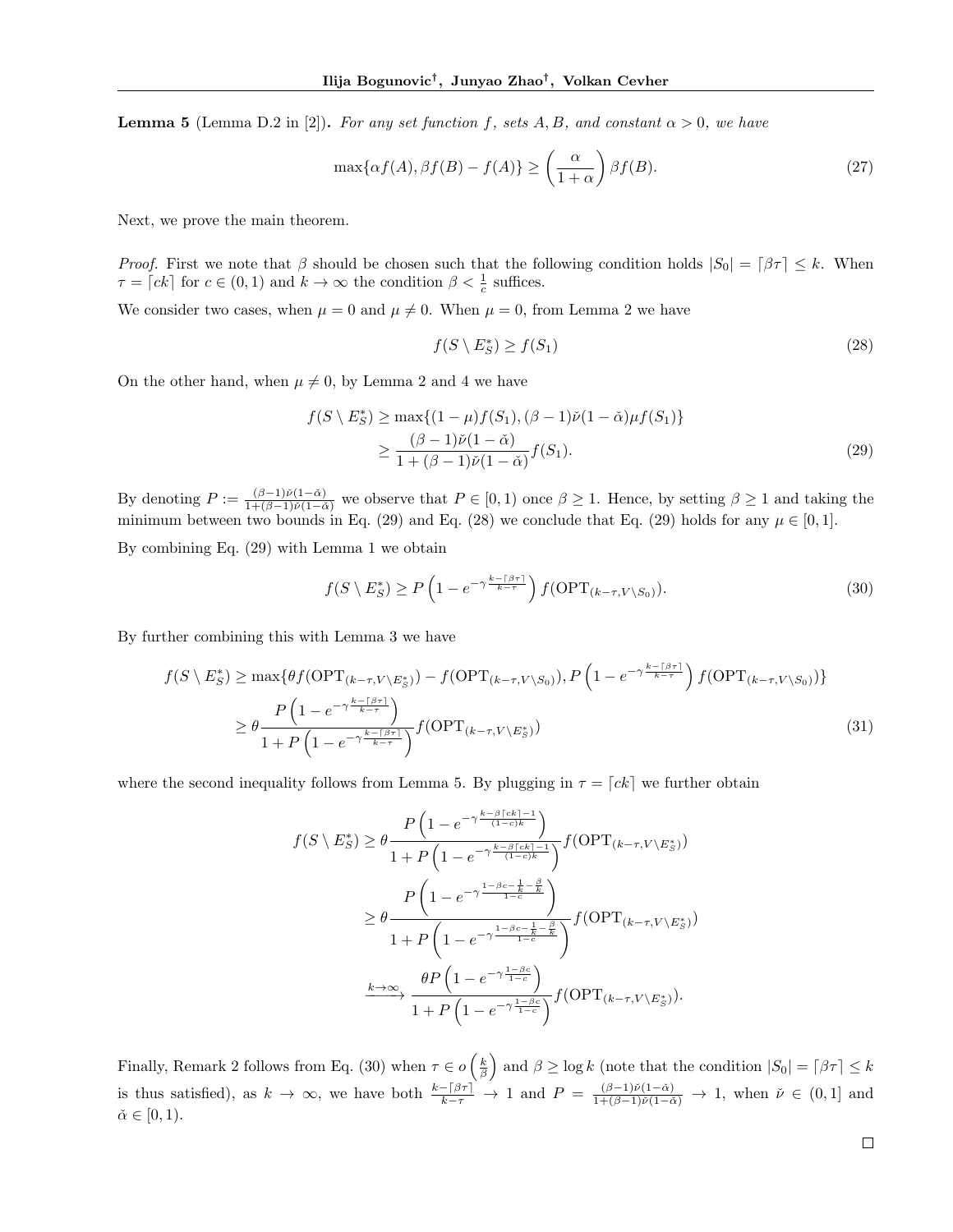**Lemma 5** (Lemma D.2 in [2]). For any set function f, sets A, B, and constant  $\alpha > 0$ , we have

$$
\max\{\alpha f(A), \beta f(B) - f(A)\} \ge \left(\frac{\alpha}{1+\alpha}\right) \beta f(B). \tag{27}
$$

Next, we prove the main theorem.

*Proof.* First we note that  $\beta$  should be chosen such that the following condition holds  $|S_0| = |\beta \tau| \leq k$ . When  $\tau = \lceil ck \rceil$  for  $c \in (0, 1)$  and  $k \to \infty$  the condition  $\beta < \frac{1}{c}$  suffices.

We consider two cases, when  $\mu = 0$  and  $\mu \neq 0$ . When  $\mu = 0$ , from Lemma 2 we have

$$
f(S \setminus E_S^*) \ge f(S_1) \tag{28}
$$

On the other hand, when  $\mu \neq 0$ , by Lemma 2 and 4 we have

$$
f(S \setminus E_S^*) \ge \max\{(1 - \mu)f(S_1), (\beta - 1)\check{\nu}(1 - \check{\alpha})\mu f(S_1)\}\
$$
  

$$
\ge \frac{(\beta - 1)\check{\nu}(1 - \check{\alpha})}{1 + (\beta - 1)\check{\nu}(1 - \check{\alpha})}f(S_1).
$$
 (29)

By denoting  $P := \frac{(\beta-1)\tilde{\nu}(1-\tilde{\alpha})}{1+(\beta-1)\tilde{\nu}(1-\tilde{\alpha})}$  we observe that  $P \in [0,1)$  once  $\beta \geq 1$ . Hence, by setting  $\beta \geq 1$  and taking the minimum between two bounds in Eq. (29) and Eq. (28) we conclude that Eq. (29) holds for any  $\mu \in [0,1]$ .

By combining Eq. (29) with Lemma 1 we obtain

$$
f(S \setminus E_S^*) \ge P\left(1 - e^{-\gamma \frac{k - \lceil \beta \tau \rceil}{k - \tau}}\right) f(\text{OPT}_{(k - \tau, V \setminus S_0)}).
$$
\n(30)

By further combining this with Lemma 3 we have

$$
f(S \setminus E_S^*) \ge \max\{\theta f(\text{OPT}_{(k-\tau,V \setminus E_S^*)}) - f(\text{OPT}_{(k-\tau,V \setminus S_0)}), P\left(1 - e^{-\gamma \frac{k - \lceil \beta \tau \rceil}{k-\tau}}\right) f(\text{OPT}_{(k-\tau,V \setminus S_0)})\}
$$
  
\n
$$
\ge \theta \frac{P\left(1 - e^{-\gamma \frac{k - \lceil \beta \tau \rceil}{k-\tau}}\right)}{1 + P\left(1 - e^{-\gamma \frac{k - \lceil \beta \tau \rceil}{k-\tau}}\right)} f(\text{OPT}_{(k-\tau,V \setminus E_S^*)})
$$
\n(31)

where the second inequality follows from Lemma 5. By plugging in  $\tau = [ck]$  we further obtain

$$
f(S \setminus E_S^*) \ge \theta \frac{P\left(1 - e^{-\gamma \frac{k - \beta \lceil ck \rceil - 1}{(1 - c)k}}\right)}{1 + P\left(1 - e^{-\gamma \frac{k - \beta \lceil ck \rceil - 1}{(1 - c)k}}\right)} f(\text{OPT}_{(k - \tau, V \setminus E_S^*)})
$$

$$
\ge \theta \frac{P\left(1 - e^{-\gamma \frac{1 - \beta c - \frac{1}{k} - \frac{\beta}{k}}{1 - c}}\right)}{1 + P\left(1 - e^{-\gamma \frac{1 - \beta c - \frac{1}{k} - \frac{\beta}{k}}{1 - c}}\right)} f(\text{OPT}_{(k - \tau, V \setminus E_S^*)})
$$

$$
\xrightarrow[k \to \infty]{} \frac{\theta P\left(1 - e^{-\gamma \frac{1 - \beta c}{1 - c}}\right)}{1 + P\left(1 - e^{-\gamma \frac{1 - \beta c}{1 - c}}\right)} f(\text{OPT}_{(k - \tau, V \setminus E_S^*)}).
$$

Finally, Remark 2 follows from Eq. (30) when  $\tau \in o\left(\frac{k}{\beta}\right)$  and  $\beta \ge \log k$  (note that the condition  $|S_0| = \lceil \beta \tau \rceil \le k$ is thus satisfied), as  $k \to \infty$ , we have both  $\frac{k-\lceil \beta\tau \rceil}{k-\tau} \to 1$  and  $P = \frac{(\beta-1)\check{\nu}(1-\check{\alpha})}{1+(\beta-1)\check{\nu}(1-\check{\alpha})} \to 1$ , when  $\check{\nu} \in (0,1]$  and  $\check{\alpha} \in [0, 1).$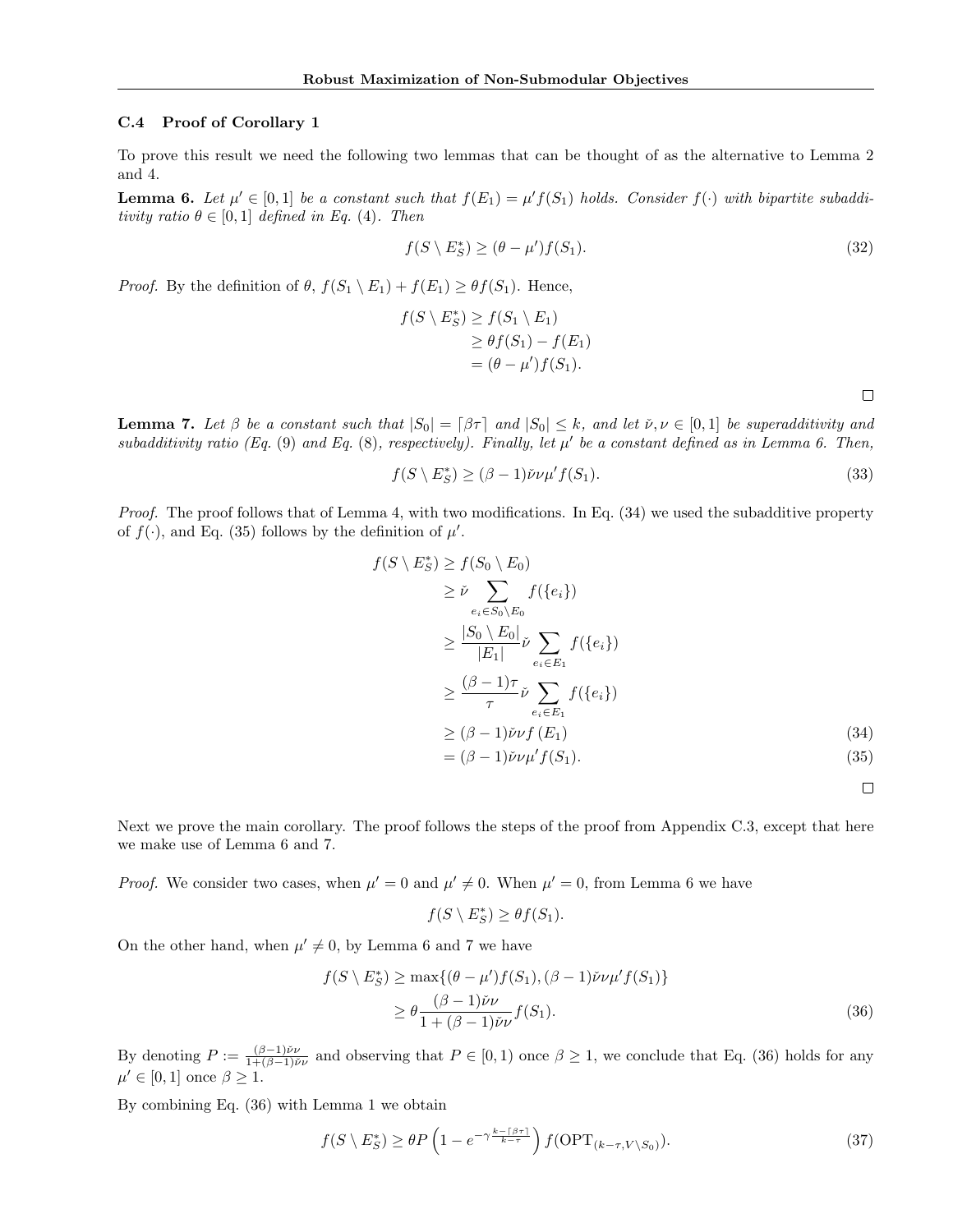#### C.4 Proof of Corollary 1

To prove this result we need the following two lemmas that can be thought of as the alternative to Lemma 2 and 4.

**Lemma 6.** Let  $\mu' \in [0,1]$  be a constant such that  $f(E_1) = \mu' f(S_1)$  holds. Consider  $f(\cdot)$  with bipartite subadditivity ratio  $\theta \in [0, 1]$  defined in Eq. (4). Then

$$
f(S \setminus E_S^*) \ge (\theta - \mu')f(S_1). \tag{32}
$$

*Proof.* By the definition of  $\theta$ ,  $f(S_1 \setminus E_1) + f(E_1) \geq \theta f(S_1)$ . Hence,

$$
f(S \setminus E_S^*) \ge f(S_1 \setminus E_1)
$$
  
\n
$$
\ge \theta f(S_1) - f(E_1)
$$
  
\n
$$
= (\theta - \mu') f(S_1).
$$

 $\Box$ 

**Lemma 7.** Let  $\beta$  be a constant such that  $|S_0| = \beta \tau$  and  $|S_0| \leq k$ , and let  $\check{\nu}, \nu \in [0, 1]$  be superadditivity and subadditivity ratio (Eq.  $(9)$  and Eq.  $(8)$ , respectively). Finally, let  $\mu'$  be a constant defined as in Lemma 6. Then,

$$
f(S \setminus E_S^*) \ge (\beta - 1)\check{\nu}\nu\mu'f(S_1). \tag{33}
$$

Proof. The proof follows that of Lemma 4, with two modifications. In Eq. (34) we used the subadditive property of  $f(\cdot)$ , and Eq. (35) follows by the definition of  $\mu'$ .

$$
f(S \setminus E_S^*) \ge f(S_0 \setminus E_0)
$$
  
\n
$$
\ge \check{\nu} \sum_{e_i \in S_0 \setminus E_0} f(\{e_i\})
$$
  
\n
$$
\ge \frac{|S_0 \setminus E_0|}{|E_1|} \check{\nu} \sum_{e_i \in E_1} f(\{e_i\})
$$
  
\n
$$
\ge \frac{(\beta - 1)\tau}{\tau} \check{\nu} \sum_{e_i \in E_1} f(\{e_i\})
$$
  
\n
$$
\ge (\beta - 1) \check{\nu} \nu f(E_1)
$$
  
\n
$$
= (\beta - 1) \check{\nu} \nu \mu' f(S_1).
$$
\n(34)

 $\Box$ 

Next we prove the main corollary. The proof follows the steps of the proof from Appendix C.3, except that here we make use of Lemma 6 and 7.

*Proof.* We consider two cases, when  $\mu' = 0$  and  $\mu' \neq 0$ . When  $\mu' = 0$ , from Lemma 6 we have

$$
f(S \setminus E_S^*) \ge \theta f(S_1).
$$

On the other hand, when  $\mu' \neq 0$ , by Lemma 6 and 7 we have

$$
f(S \setminus E_S^*) \ge \max\{(\theta - \mu')f(S_1), (\beta - 1)\check{\nu}\nu\mu'f(S_1)\}\
$$
  

$$
\ge \theta \frac{(\beta - 1)\check{\nu}\nu}{1 + (\beta - 1)\check{\nu}\nu}f(S_1).
$$
 (36)

By denoting  $P := \frac{(\beta-1)\check{\nu}\nu}{1+(\beta-1)\check{\nu}}$  $\frac{(\beta-1)\nu}{1+(\beta-1)\nu}$  and observing that  $P \in [0,1)$  once  $\beta \geq 1$ , we conclude that Eq. (36) holds for any  $\mu' \in [0, 1]$  once  $\beta \geq 1$ .

By combining Eq. (36) with Lemma 1 we obtain

$$
f(S \setminus E_S^*) \ge \theta P \left( 1 - e^{-\gamma \frac{k - \lceil \beta \tau \rceil}{k - \tau}} \right) f(\text{OPT}_{(k - \tau, V \setminus S_0)}).
$$
\n(37)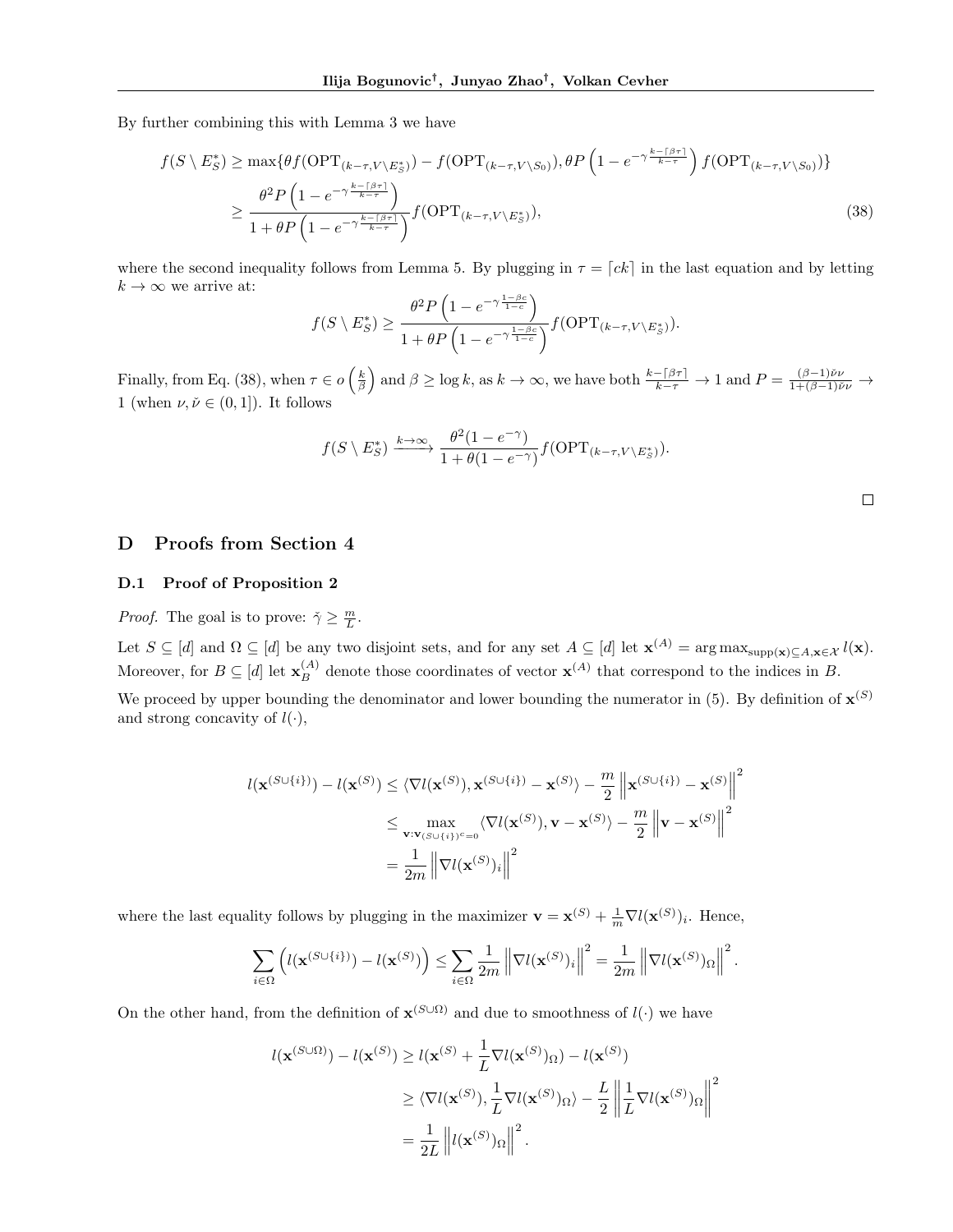By further combining this with Lemma 3 we have

$$
f(S \setminus E_S^*) \ge \max\{\theta f(\text{OPT}_{(k-\tau,V \setminus E_S^*)}) - f(\text{OPT}_{(k-\tau,V \setminus S_0)}), \theta P\left(1 - e^{-\gamma \frac{k - \lceil \beta \tau \rceil}{k-\tau}}\right) f(\text{OPT}_{(k-\tau,V \setminus S_0)})\}
$$
  

$$
\ge \frac{\theta^2 P\left(1 - e^{-\gamma \frac{k - \lceil \beta \tau \rceil}{k-\tau}}\right)}{1 + \theta P\left(1 - e^{-\gamma \frac{k - \lceil \beta \tau \rceil}{k-\tau}}\right)} f(\text{OPT}_{(k-\tau,V \setminus E_S^*)}),
$$
(38)

where the second inequality follows from Lemma 5. By plugging in  $\tau = [ck]$  in the last equation and by letting  $k \to \infty$  we arrive at:

$$
f(S \setminus E_S^*) \ge \frac{\theta^2 P\left(1 - e^{-\gamma \frac{1-\beta c}{1-c}}\right)}{1 + \theta P\left(1 - e^{-\gamma \frac{1-\beta c}{1-c}}\right)} f(\text{OPT}_{(k-\tau,V \setminus E_S^*)}).
$$

Finally, from Eq. (38), when  $\tau \in o\left(\frac{k}{\beta}\right)$  and  $\beta \ge \log k$ , as  $k \to \infty$ , we have both  $\frac{k - \beta \tau}{k - \tau} \to 1$  and  $P = \frac{(\beta - 1)\check{\nu}\nu}{1 + (\beta - 1)\check{\nu}\nu} \to$ 1 (when  $\nu, \check{\nu} \in (0, 1]$ ). It follows

$$
f(S \setminus E_S^*) \xrightarrow{k \to \infty} \frac{\theta^2 (1 - e^{-\gamma})}{1 + \theta (1 - e^{-\gamma})} f(\text{OPT}_{(k - \tau, V \setminus E_S^*)}).
$$

## D Proofs from Section 4

#### D.1 Proof of Proposition 2

*Proof.* The goal is to prove:  $\check{\gamma} \geq \frac{m}{L}$ .

Let  $S \subseteq [d]$  and  $\Omega \subseteq [d]$  be any two disjoint sets, and for any set  $A \subseteq [d]$  let  $\mathbf{x}^{(A)} = \arg \max_{\text{supp}(\mathbf{x}) \subseteq A, \mathbf{x} \in \mathcal{X}} l(\mathbf{x})$ . Moreover, for  $B \subseteq [d]$  let  $\mathbf{x}_{B}^{(A)}$  denote those coordinates of vector  $\mathbf{x}^{(A)}$  that correspond to the indices in B. We proceed by upper bounding the denominator and lower bounding the numerator in (5). By definition of  $\mathbf{x}^{(S)}$ 

and strong concavity of  $l(\cdot)$ ,

$$
l(\mathbf{x}^{(S \cup \{i\})}) - l(\mathbf{x}^{(S)}) \leq \langle \nabla l(\mathbf{x}^{(S)}), \mathbf{x}^{(S \cup \{i\})} - \mathbf{x}^{(S)} \rangle - \frac{m}{2} ||\mathbf{x}^{(S \cup \{i\})} - \mathbf{x}^{(S)}||^2
$$
  

$$
\leq \max_{\mathbf{v}: \mathbf{v}_{(S \cup \{i\})^c = 0}} \langle \nabla l(\mathbf{x}^{(S)}), \mathbf{v} - \mathbf{x}^{(S)} \rangle - \frac{m}{2} ||\mathbf{v} - \mathbf{x}^{(S)}||^2
$$
  

$$
= \frac{1}{2m} ||\nabla l(\mathbf{x}^{(S)})_i||^2
$$

where the last equality follows by plugging in the maximizer  $\mathbf{v} = \mathbf{x}^{(S)} + \frac{1}{m} \nabla l(\mathbf{x}^{(S)})_i$ . Hence,

$$
\sum_{i\in\Omega}\left(l(\mathbf{x}^{(S\cup\{i\})})-l(\mathbf{x}^{(S)})\right)\leq \sum_{i\in\Omega}\frac{1}{2m}\left\|\nabla l(\mathbf{x}^{(S)})_i\right\|^2=\frac{1}{2m}\left\|\nabla l(\mathbf{x}^{(S)})_{{\Omega}}\right\|^2.
$$

On the other hand, from the definition of  $\mathbf{x}^{(S\cup\Omega)}$  and due to smoothness of  $l(\cdot)$  we have

$$
l(\mathbf{x}^{(S\cup\Omega)}) - l(\mathbf{x}^{(S)}) \ge l(\mathbf{x}^{(S)} + \frac{1}{L}\nabla l(\mathbf{x}^{(S)})_{\Omega}) - l(\mathbf{x}^{(S)})
$$
  
\n
$$
\ge \langle \nabla l(\mathbf{x}^{(S)}), \frac{1}{L}\nabla l(\mathbf{x}^{(S)})_{\Omega} \rangle - \frac{L}{2} \left\| \frac{1}{L}\nabla l(\mathbf{x}^{(S)})_{\Omega} \right\|^2
$$
  
\n
$$
= \frac{1}{2L} \left\| l(\mathbf{x}^{(S)})_{\Omega} \right\|^2.
$$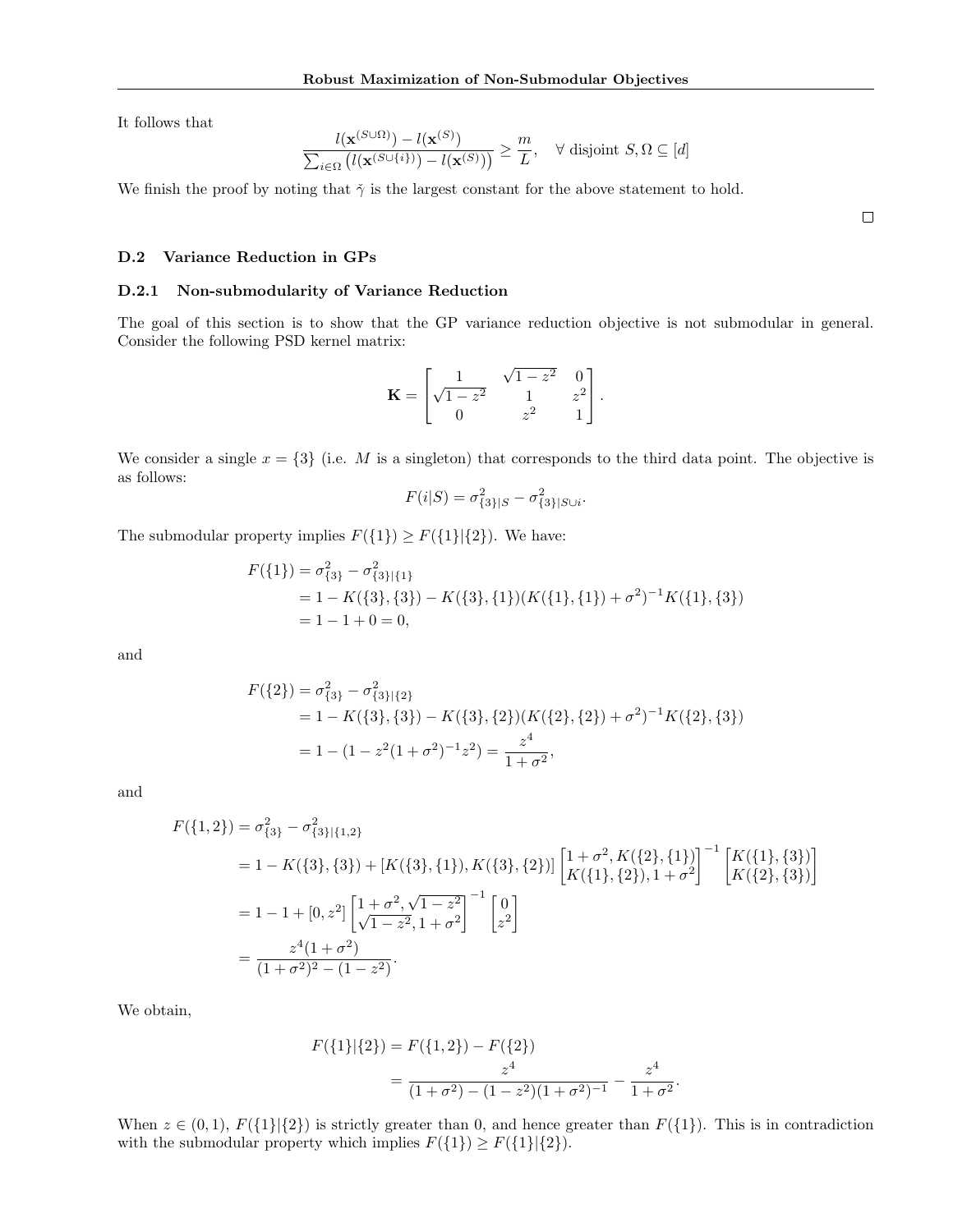It follows that

$$
\frac{l(\mathbf{x}^{(S\cup\Omega)}) - l(\mathbf{x}^{(S)})}{\sum_{i\in\Omega} \left(l(\mathbf{x}^{(S\cup\{i\})}) - l(\mathbf{x}^{(S)})\right)} \geq \frac{m}{L}, \quad \forall \text{ disjoint } S, \Omega \subseteq [d]
$$

We finish the proof by noting that  $\check{\gamma}$  is the largest constant for the above statement to hold.

D.2 Variance Reduction in GPs

#### D.2.1 Non-submodularity of Variance Reduction

The goal of this section is to show that the GP variance reduction objective is not submodular in general. Consider the following PSD kernel matrix:

$$
\mathbf{K} = \begin{bmatrix} 1 & \sqrt{1 - z^2} & 0 \\ \sqrt{1 - z^2} & 1 & z^2 \\ 0 & z^2 & 1 \end{bmatrix}.
$$

We consider a single  $x = \{3\}$  (i.e. M is a singleton) that corresponds to the third data point. The objective is as follows:

$$
F(i|S) = \sigma_{\{3\}|S}^2 - \sigma_{\{3\}|S\cup i}^2.
$$

The submodular property implies  $F({1}) \ge F({1}||{2})$ . We have:

$$
F({1}) = \sigma_{\{3\}}^2 - \sigma_{\{3\}\{1\}}^2
$$
  
= 1 - K({3}, {3}) - K({3}, {1}) (K({1}, {1}) + \sigma^2)^{-1} K({1}, {3})  
= 1 - 1 + 0 = 0,

and

$$
F({2}) = \sigma_{\{3\}}^2 - \sigma_{\{3\}\{2\}}^2
$$
  
= 1 - K({3}, {3}) - K({3}, {2}) (K({2}, {2}) + \sigma^2)^{-1} K({2}, {3})  
= 1 - (1 - z^2(1 + \sigma^2)^{-1}z^2) = \frac{z^4}{1 + \sigma^2},

and

$$
F(\{1,2\}) = \sigma_{\{3\}}^2 - \sigma_{\{3\}\{\{1,2\}}^2
$$
  
= 1 - K({3}, {3}) + [K({3}, {1}), K({3}, {2})]  $\left[ \begin{matrix} 1+\sigma^2, K({2}, {1}) \\ K({1}, {2}), 1+\sigma^2 \end{matrix} \right]^{-1} \left[ \begin{matrix} K({1}, {3}) \\ K({2}, {3}) \end{matrix} \right]$   
= 1 - 1 + [0, z<sup>2</sup>]  $\left[ \begin{matrix} 1+\sigma^2, \sqrt{1-z^2} \\ \sqrt{1-z^2}, 1+\sigma^2 \end{matrix} \right]^{-1} \left[ \begin{matrix} 0 \\ z^2 \end{matrix} \right]$   
=  $\frac{z^4(1+\sigma^2)}{(1+\sigma^2)^2 - (1-z^2)}$ .

We obtain,

$$
F({1}|{2}) = F({1,2}) - F({2})
$$
  
= 
$$
\frac{z^4}{(1+\sigma^2) - (1-z^2)(1+\sigma^2)^{-1}} - \frac{z^4}{1+\sigma^2}.
$$

When  $z \in (0,1)$ ,  $F({1}|\{2\})$  is strictly greater than 0, and hence greater than  $F({1})$ . This is in contradiction with the submodular property which implies  $F({1}) \ge F({1}||{2}).$ 

 $\Box$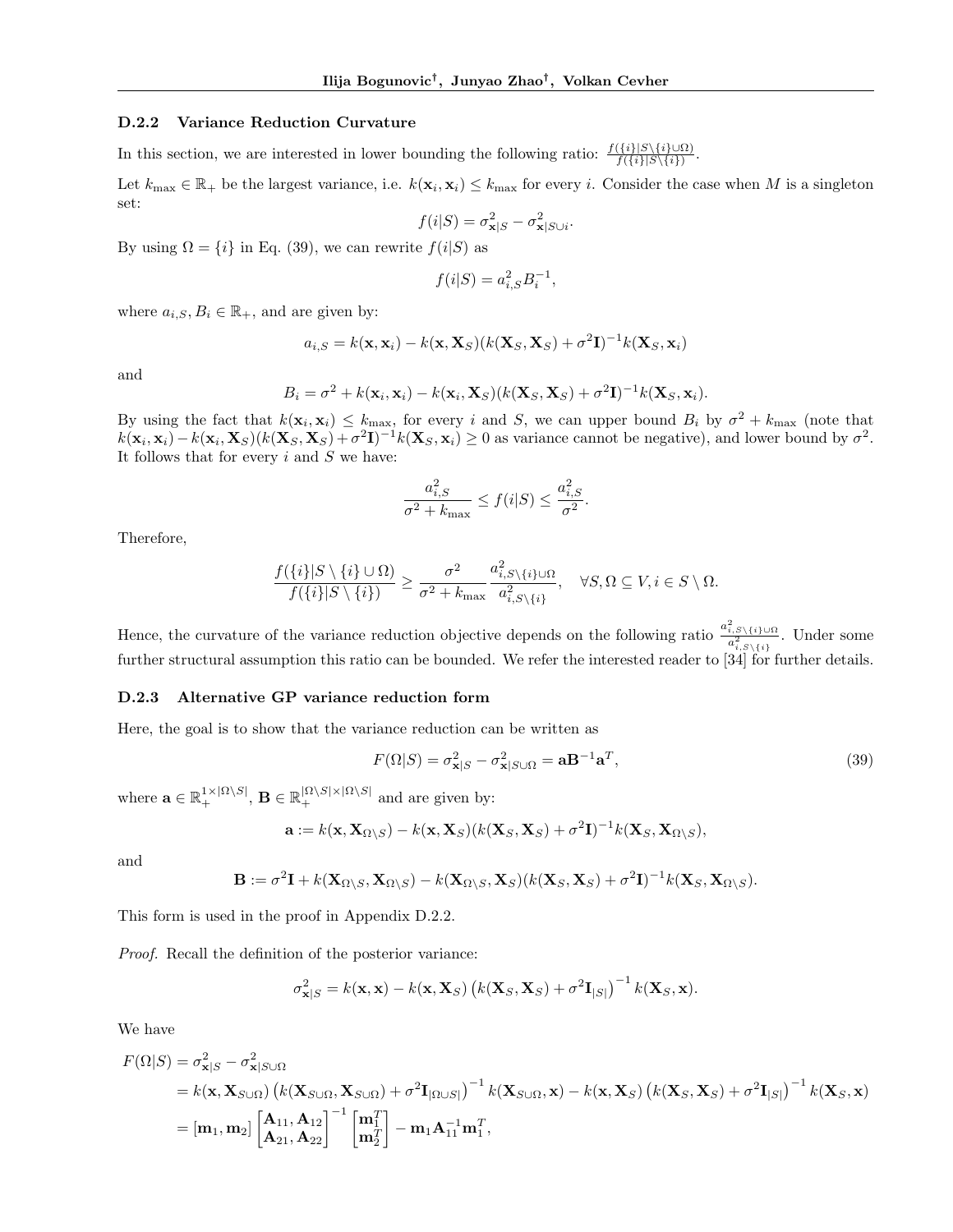#### D.2.2 Variance Reduction Curvature

In this section, we are interested in lower bounding the following ratio:  $\frac{f(\{i\} | S \setminus \{i\} \cup \Omega)}{f(\{i\} | S \setminus \{i\})}$ .

Let  $k_{\text{max}} \in \mathbb{R}_+$  be the largest variance, i.e.  $k(\mathbf{x}_i, \mathbf{x}_i) \leq k_{\text{max}}$  for every i. Consider the case when M is a singleton set:

$$
f(i|S) = \sigma_{\mathbf{x}|S}^2 - \sigma_{\mathbf{x}|S\cup i}^2.
$$

By using  $\Omega = \{i\}$  in Eq. (39), we can rewrite  $f(i|S)$  as

$$
f(i|S) = a_{i,S}^2 B_i^{-1},
$$

where  $a_{i,S}, B_i \in \mathbb{R}_+$ , and are given by:

$$
a_{i,S} = k(\mathbf{x}, \mathbf{x}_i) - k(\mathbf{x}, \mathbf{X}_S)(k(\mathbf{X}_S, \mathbf{X}_S) + \sigma^2 \mathbf{I})^{-1} k(\mathbf{X}_S, \mathbf{x}_i)
$$

and

$$
B_i = \sigma^2 + k(\mathbf{x}_i, \mathbf{x}_i) - k(\mathbf{x}_i, \mathbf{X}_S)(k(\mathbf{X}_S, \mathbf{X}_S) + \sigma^2 \mathbf{I})^{-1} k(\mathbf{X}_S, \mathbf{x}_i).
$$

By using the fact that  $k(\mathbf{x}_i, \mathbf{x}_i) \leq k_{\text{max}}$ , for every i and S, we can upper bound  $B_i$  by  $\sigma^2 + k_{\text{max}}$  (note that  $k(\mathbf{x}_i, \mathbf{x}_i) - k(\mathbf{x}_i, \mathbf{X}_S)(k(\mathbf{X}_S, \mathbf{X}_S) + \sigma^2 \mathbf{I})^{-1} k(\mathbf{X}_S, \mathbf{x}_i) \ge 0$  as variance cannot be negative), and lower bound by  $\sigma^2$ . It follows that for every  $i$  and  $S$  we have:

$$
\frac{a_{i,S}^2}{\sigma^2 + k_{\text{max}}} \le f(i|S) \le \frac{a_{i,S}^2}{\sigma^2}.
$$

Therefore,

$$
\frac{f(\{i\}|S\setminus\{i\}\cup\Omega)}{f(\{i\}|S\setminus\{i\})}\geq \frac{\sigma^2}{\sigma^2+k_{\max}}\frac{a_{i,S\setminus\{i\}\cup\Omega}^2}{a_{i,S\setminus\{i\}}^2},\quad\forall S,\Omega\subseteq V,i\in S\setminus\Omega.
$$

Hence, the curvature of the variance reduction objective depends on the following ratio  $\frac{a_{i,S\setminus\{i\}\cup\Omega}^{2}}{a_{i,S\setminus\{i\}}}$ . Under some further structural assumption this ratio can be bounded. We refer the interested reader to [34] for further details.

### D.2.3 Alternative GP variance reduction form

Here, the goal is to show that the variance reduction can be written as

$$
F(\Omega|S) = \sigma_{\mathbf{x}|S}^2 - \sigma_{\mathbf{x}|S\cup\Omega}^2 = \mathbf{a}\mathbf{B}^{-1}\mathbf{a}^T,
$$
\n(39)

where  $\mathbf{a} \in \mathbb{R}_+^{1 \times |\Omega \setminus S|}$ ,  $\mathbf{B} \in \mathbb{R}_+^{|\Omega \setminus S| \times |\Omega \setminus S|}$  and are given by:

$$
\mathbf{a} := k(\mathbf{x}, \mathbf{X}_{\Omega \setminus S}) - k(\mathbf{x}, \mathbf{X}_S)(k(\mathbf{X}_S, \mathbf{X}_S) + \sigma^2 \mathbf{I})^{-1} k(\mathbf{X}_S, \mathbf{X}_{\Omega \setminus S}),
$$

and

$$
\mathbf{B} := \sigma^2 \mathbf{I} + k(\mathbf{X}_{\Omega \setminus S}, \mathbf{X}_{\Omega \setminus S}) - k(\mathbf{X}_{\Omega \setminus S}, \mathbf{X}_{S})(k(\mathbf{X}_{S}, \mathbf{X}_{S}) + \sigma^2 \mathbf{I})^{-1}k(\mathbf{X}_{S}, \mathbf{X}_{\Omega \setminus S}).
$$

This form is used in the proof in Appendix D.2.2.

Proof. Recall the definition of the posterior variance:

$$
\sigma_{\mathbf{x}|S}^2 = k(\mathbf{x}, \mathbf{x}) - k(\mathbf{x}, \mathbf{X}_S) \left( k(\mathbf{X}_S, \mathbf{X}_S) + \sigma^2 \mathbf{I}_{|S|} \right)^{-1} k(\mathbf{X}_S, \mathbf{x}).
$$

We have

$$
F(\Omega|S) = \sigma_{\mathbf{x}|S}^2 - \sigma_{\mathbf{x}|S\cup\Omega}^2
$$
  
=  $k(\mathbf{x}, \mathbf{X}_{S\cup\Omega}) (k(\mathbf{X}_{S\cup\Omega}, \mathbf{X}_{S\cup\Omega}) + \sigma^2 \mathbf{I}_{|\Omega\cup S|})^{-1} k(\mathbf{X}_{S\cup\Omega}, \mathbf{x}) - k(\mathbf{x}, \mathbf{X}_{S}) (k(\mathbf{X}_{S}, \mathbf{X}_{S}) + \sigma^2 \mathbf{I}_{|S|})^{-1} k(\mathbf{X}_{S}, \mathbf{x})$   
=  $[\mathbf{m}_1, \mathbf{m}_2] \begin{bmatrix} \mathbf{A}_{11}, \mathbf{A}_{12} \\ \mathbf{A}_{21}, \mathbf{A}_{22} \end{bmatrix}^{-1} \begin{bmatrix} \mathbf{m}_1^T \\ \mathbf{m}_2^T \end{bmatrix} - \mathbf{m}_1 \mathbf{A}_{11}^{-1} \mathbf{m}_1^T,$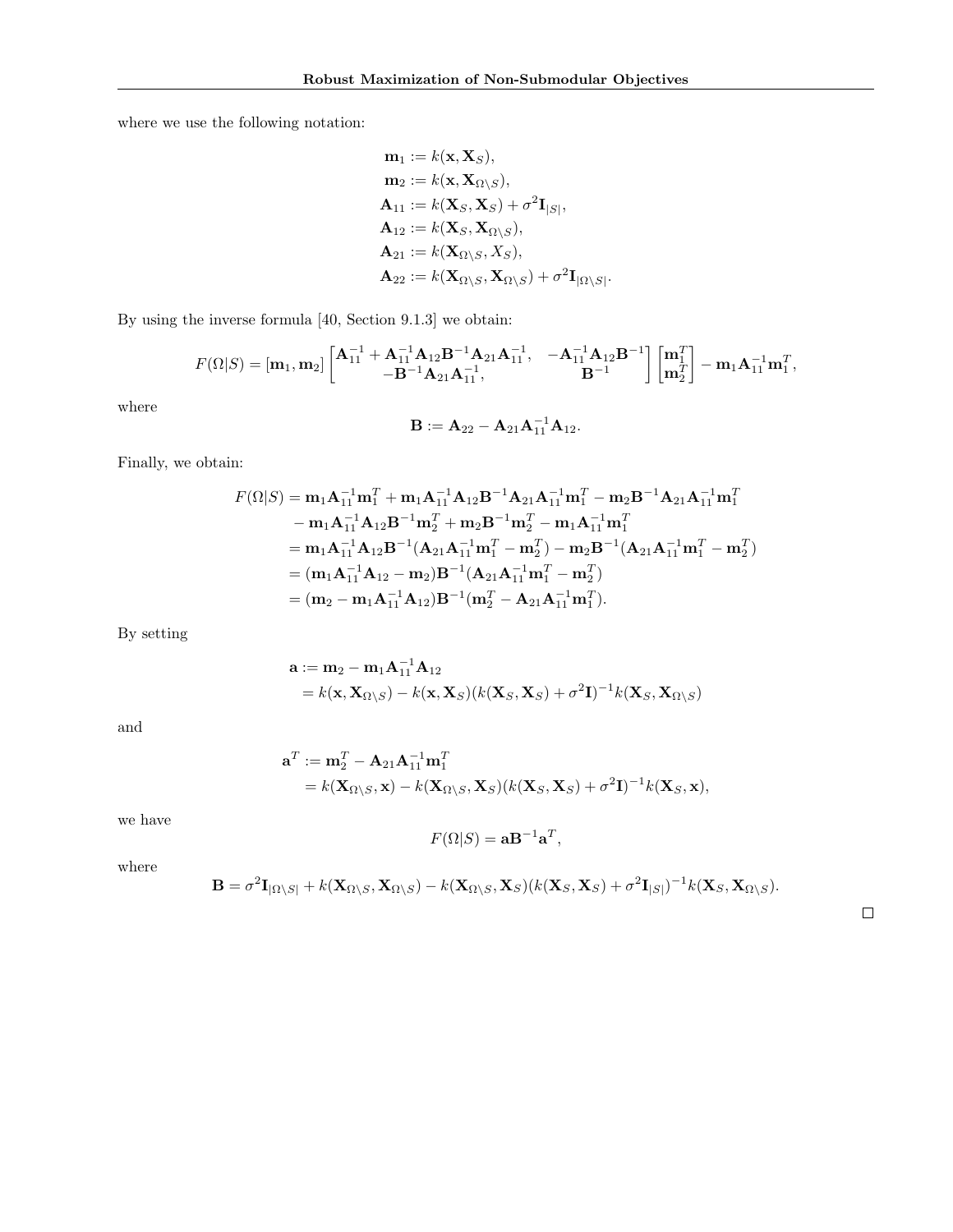where we use the following notation:

$$
\mathbf{m}_1 := k(\mathbf{x}, \mathbf{X}_S),
$$
  
\n
$$
\mathbf{m}_2 := k(\mathbf{x}, \mathbf{X}_{\Omega \setminus S}),
$$
  
\n
$$
\mathbf{A}_{11} := k(\mathbf{X}_S, \mathbf{X}_S) + \sigma^2 \mathbf{I}_{|S|},
$$
  
\n
$$
\mathbf{A}_{12} := k(\mathbf{X}_S, \mathbf{X}_{\Omega \setminus S}),
$$
  
\n
$$
\mathbf{A}_{21} := k(\mathbf{X}_{\Omega \setminus S}, X_S),
$$
  
\n
$$
\mathbf{A}_{22} := k(\mathbf{X}_{\Omega \setminus S}, \mathbf{X}_{\Omega \setminus S}) + \sigma^2 \mathbf{I}_{|\Omega \setminus S|}.
$$

By using the inverse formula [40, Section 9.1.3] we obtain:

$$
F(\Omega|S) = [\mathbf{m}_1, \mathbf{m}_2] \begin{bmatrix} \mathbf{A}_{11}^{-1} + \mathbf{A}_{11}^{-1} \mathbf{A}_{12} \mathbf{B}^{-1} \mathbf{A}_{21} \mathbf{A}_{11}^{-1}, & -\mathbf{A}_{11}^{-1} \mathbf{A}_{12} \mathbf{B}^{-1} \\ -\mathbf{B}^{-1} \mathbf{A}_{21} \mathbf{A}_{11}^{-1}, & \mathbf{B}^{-1} \end{bmatrix} \begin{bmatrix} \mathbf{m}_1^T \\ \mathbf{m}_2^T \end{bmatrix} - \mathbf{m}_1 \mathbf{A}_{11}^{-1} \mathbf{m}_1^T,
$$

where

$$
\mathbf{B} := \mathbf{A}_{22} - \mathbf{A}_{21} \mathbf{A}_{11}^{-1} \mathbf{A}_{12}.
$$

Finally, we obtain:

$$
F(\Omega|S) = \mathbf{m}_1 \mathbf{A}_{11}^{-1} \mathbf{m}_1^T + \mathbf{m}_1 \mathbf{A}_{11}^{-1} \mathbf{A}_{12} \mathbf{B}^{-1} \mathbf{A}_{21} \mathbf{A}_{11}^{-1} \mathbf{m}_1^T - \mathbf{m}_2 \mathbf{B}^{-1} \mathbf{A}_{21} \mathbf{A}_{11}^{-1} \mathbf{m}_1^T
$$
  
\n
$$
- \mathbf{m}_1 \mathbf{A}_{11}^{-1} \mathbf{A}_{12} \mathbf{B}^{-1} \mathbf{m}_2^T + \mathbf{m}_2 \mathbf{B}^{-1} \mathbf{m}_2^T - \mathbf{m}_1 \mathbf{A}_{11}^{-1} \mathbf{m}_1^T
$$
  
\n
$$
= \mathbf{m}_1 \mathbf{A}_{11}^{-1} \mathbf{A}_{12} \mathbf{B}^{-1} (\mathbf{A}_{21} \mathbf{A}_{11}^{-1} \mathbf{m}_1^T - \mathbf{m}_2^T) - \mathbf{m}_2 \mathbf{B}^{-1} (\mathbf{A}_{21} \mathbf{A}_{11}^{-1} \mathbf{m}_1^T - \mathbf{m}_2^T)
$$
  
\n
$$
= (\mathbf{m}_1 \mathbf{A}_{11}^{-1} \mathbf{A}_{12} - \mathbf{m}_2) \mathbf{B}^{-1} (\mathbf{A}_{21} \mathbf{A}_{11}^{-1} \mathbf{m}_1^T - \mathbf{m}_2^T)
$$
  
\n
$$
= (\mathbf{m}_2 - \mathbf{m}_1 \mathbf{A}_{11}^{-1} \mathbf{A}_{12}) \mathbf{B}^{-1} (\mathbf{m}_2^T - \mathbf{A}_{21} \mathbf{A}_{11}^{-1} \mathbf{m}_1^T).
$$

By setting

$$
\mathbf{a} := \mathbf{m}_2 - \mathbf{m}_1 \mathbf{A}_{11}^{-1} \mathbf{A}_{12}
$$
  
=  $k(\mathbf{x}, \mathbf{X}_{\Omega \setminus S}) - k(\mathbf{x}, \mathbf{X}_S)(k(\mathbf{X}_S, \mathbf{X}_S) + \sigma^2 \mathbf{I})^{-1} k(\mathbf{X}_S, \mathbf{X}_{\Omega \setminus S})$ 

and

$$
\mathbf{a}^T := \mathbf{m}_2^T - \mathbf{A}_{21} \mathbf{A}_{11}^{-1} \mathbf{m}_1^T
$$
  
=  $k(\mathbf{X}_{\Omega \setminus S}, \mathbf{x}) - k(\mathbf{X}_{\Omega \setminus S}, \mathbf{X}_S)(k(\mathbf{X}_S, \mathbf{X}_S) + \sigma^2 \mathbf{I})^{-1} k(\mathbf{X}_S, \mathbf{x}),$ 

we have

$$
F(\Omega|S) = \mathbf{a}\mathbf{B}^{-1}\mathbf{a}^T,
$$

where

$$
\mathbf{B} = \sigma^2 \mathbf{I}_{|\Omega \setminus S|} + k(\mathbf{X}_{\Omega \setminus S}, \mathbf{X}_{\Omega \setminus S}) - k(\mathbf{X}_{\Omega \setminus S}, \mathbf{X}_{S})(k(\mathbf{X}_{S}, \mathbf{X}_{S}) + \sigma^2 \mathbf{I}_{|S|})^{-1} k(\mathbf{X}_{S}, \mathbf{X}_{\Omega \setminus S}).
$$

 $\Box$